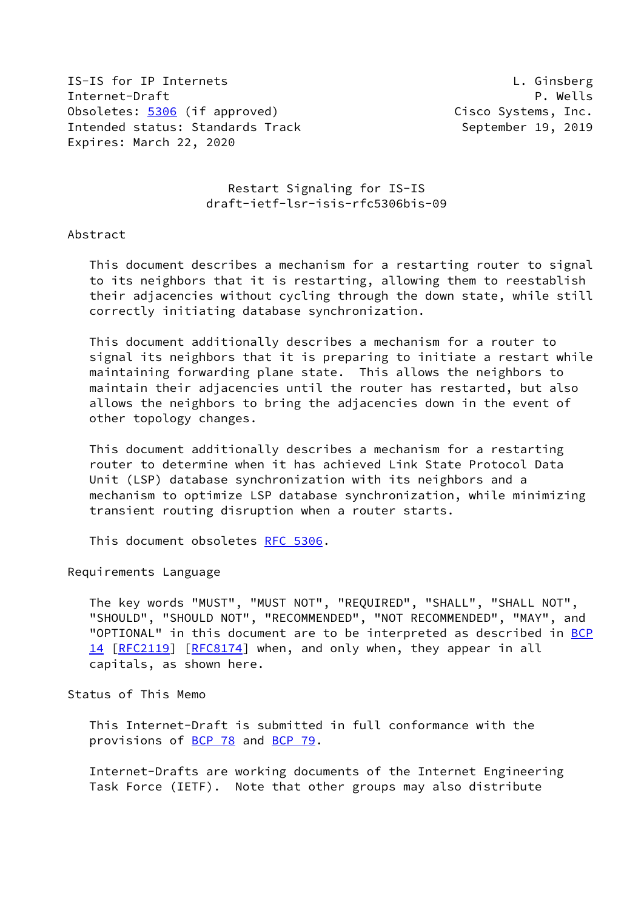IS-IS for IP Internets L. Ginsberg Internet-Draft P. Wells Obsoletes: [5306](https://datatracker.ietf.org/doc/pdf/rfc5306) (if approved) Cisco Systems, Inc. Intended status: Standards Track September 19, 2019 Expires: March 22, 2020

 Restart Signaling for IS-IS draft-ietf-lsr-isis-rfc5306bis-09

## Abstract

 This document describes a mechanism for a restarting router to signal to its neighbors that it is restarting, allowing them to reestablish their adjacencies without cycling through the down state, while still correctly initiating database synchronization.

 This document additionally describes a mechanism for a router to signal its neighbors that it is preparing to initiate a restart while maintaining forwarding plane state. This allows the neighbors to maintain their adjacencies until the router has restarted, but also allows the neighbors to bring the adjacencies down in the event of other topology changes.

 This document additionally describes a mechanism for a restarting router to determine when it has achieved Link State Protocol Data Unit (LSP) database synchronization with its neighbors and a mechanism to optimize LSP database synchronization, while minimizing transient routing disruption when a router starts.

This document obsoletes [RFC 5306](https://datatracker.ietf.org/doc/pdf/rfc5306).

### Requirements Language

 The key words "MUST", "MUST NOT", "REQUIRED", "SHALL", "SHALL NOT", "SHOULD", "SHOULD NOT", "RECOMMENDED", "NOT RECOMMENDED", "MAY", and "OPTIONAL" in this document are to be interpreted as described in [BCP](https://datatracker.ietf.org/doc/pdf/bcp14) [14](https://datatracker.ietf.org/doc/pdf/bcp14) [[RFC2119\]](https://datatracker.ietf.org/doc/pdf/rfc2119) [\[RFC8174](https://datatracker.ietf.org/doc/pdf/rfc8174)] when, and only when, they appear in all capitals, as shown here.

## Status of This Memo

 This Internet-Draft is submitted in full conformance with the provisions of [BCP 78](https://datatracker.ietf.org/doc/pdf/bcp78) and [BCP 79](https://datatracker.ietf.org/doc/pdf/bcp79).

 Internet-Drafts are working documents of the Internet Engineering Task Force (IETF). Note that other groups may also distribute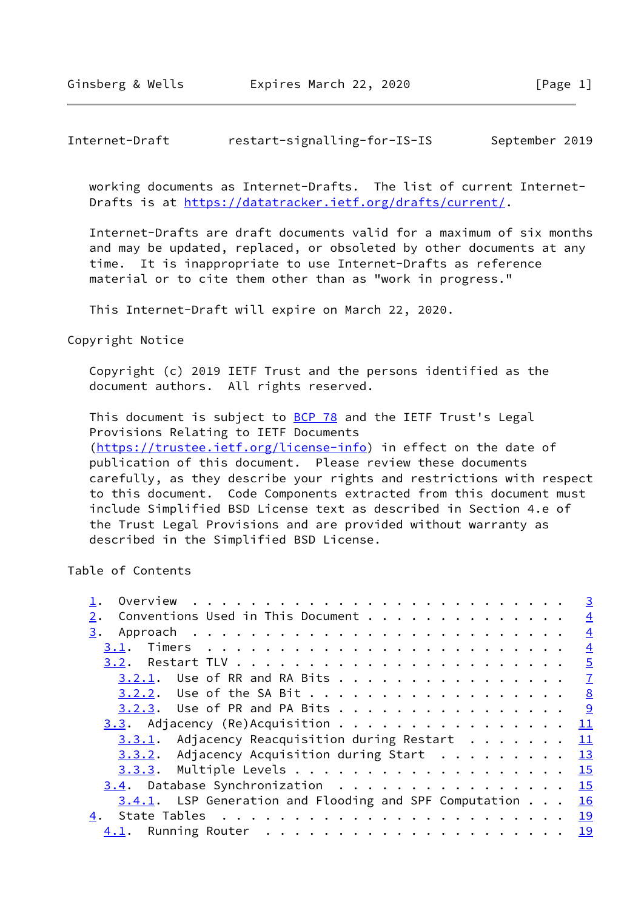Internet-Draft restart-signalling-for-IS-IS September 2019

 working documents as Internet-Drafts. The list of current Internet- Drafts is at<https://datatracker.ietf.org/drafts/current/>.

 Internet-Drafts are draft documents valid for a maximum of six months and may be updated, replaced, or obsoleted by other documents at any time. It is inappropriate to use Internet-Drafts as reference material or to cite them other than as "work in progress."

This Internet-Draft will expire on March 22, 2020.

Copyright Notice

 Copyright (c) 2019 IETF Trust and the persons identified as the document authors. All rights reserved.

This document is subject to **[BCP 78](https://datatracker.ietf.org/doc/pdf/bcp78)** and the IETF Trust's Legal Provisions Relating to IETF Documents [\(https://trustee.ietf.org/license-info](https://trustee.ietf.org/license-info)) in effect on the date of publication of this document. Please review these documents carefully, as they describe your rights and restrictions with respect to this document. Code Components extracted from this document must include Simplified BSD License text as described in Section 4.e of the Trust Legal Provisions and are provided without warranty as described in the Simplified BSD License.

Table of Contents

| Overview $\cdots$ , $\cdots$ , $\cdots$ , $\cdots$ , $\cdots$ , $\cdots$ , $\cdots$ , $\cdots$ , $\cdots$ , $\cdots$ , $\cdots$ , $\cdots$ , $\cdots$ , $\cdots$ , $\cdots$ , $\cdots$ , $\cdots$ , $\cdots$ , $\cdots$ , $\cdots$ , $\cdots$ , $\cdots$ , $\cdots$ , $\cdots$ , $\cdots$ , $\cdots$ , $\cdots$ , $\cdots$ , $\cdots$ , $\cdots$ , $\$ |  | $\overline{3}$ |
|--------------------------------------------------------------------------------------------------------------------------------------------------------------------------------------------------------------------------------------------------------------------------------------------------------------------------------------------------------|--|----------------|
| Conventions Used in This Document<br>2.                                                                                                                                                                                                                                                                                                                |  | $\overline{4}$ |
|                                                                                                                                                                                                                                                                                                                                                        |  | $\overline{4}$ |
|                                                                                                                                                                                                                                                                                                                                                        |  | $\overline{4}$ |
|                                                                                                                                                                                                                                                                                                                                                        |  |                |
| 3.2.1. Use of RR and RA Bits 7                                                                                                                                                                                                                                                                                                                         |  |                |
| $3.2.2$ . Use of the SA Bit 8                                                                                                                                                                                                                                                                                                                          |  |                |
| 3.2.3. Use of PR and PA Bits 9                                                                                                                                                                                                                                                                                                                         |  |                |
| $3.3.$ Adjacency (Re)Acquisition 11                                                                                                                                                                                                                                                                                                                    |  |                |
| $3.3.1$ . Adjacency Reacquisition during Restart 11                                                                                                                                                                                                                                                                                                    |  |                |
| 3.3.2. Adjacency Acquisition during Start 13                                                                                                                                                                                                                                                                                                           |  |                |
| 3.3.3. Multiple Levels 15                                                                                                                                                                                                                                                                                                                              |  |                |
| $3.4$ . Database Synchronization 15                                                                                                                                                                                                                                                                                                                    |  |                |
| 3.4.1. LSP Generation and Flooding and SPF Computation 16                                                                                                                                                                                                                                                                                              |  |                |
| 4.                                                                                                                                                                                                                                                                                                                                                     |  |                |
|                                                                                                                                                                                                                                                                                                                                                        |  |                |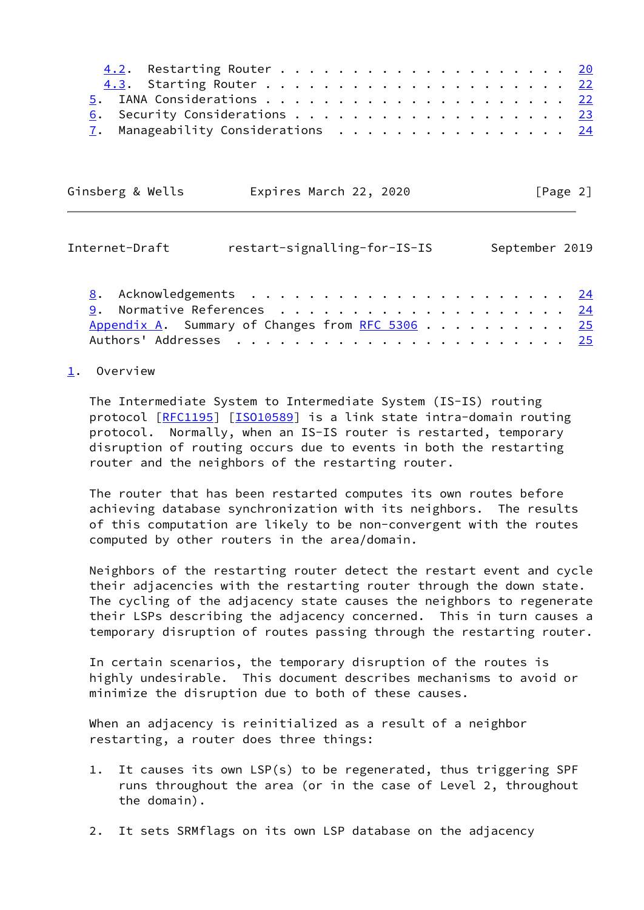| 6. Security Considerations 23                     |  |  |  |  |  |  |  |  |
|---------------------------------------------------|--|--|--|--|--|--|--|--|
| $\underline{7}$ . Manageability Considerations 24 |  |  |  |  |  |  |  |  |

| Ginsberg & Wells<br>Expires March 22, 2020 | [Page 2] |
|--------------------------------------------|----------|
|--------------------------------------------|----------|

<span id="page-2-1"></span>

| Internet-Draft                                           | restart-signalling-for-IS-IS |  |  |  |  | September 2019 |
|----------------------------------------------------------|------------------------------|--|--|--|--|----------------|
|                                                          |                              |  |  |  |  |                |
|                                                          |                              |  |  |  |  |                |
| Appendix A. Summary of Changes from RFC 5306 $\ldots$ 25 |                              |  |  |  |  |                |

Authors' Addresses . . . . . . . . . . . . . . . . . . . . . . . [25](#page-27-1)

## <span id="page-2-0"></span>[1](#page-2-0). Overview

 The Intermediate System to Intermediate System (IS-IS) routing protocol [\[RFC1195](https://datatracker.ietf.org/doc/pdf/rfc1195)] [[ISO10589\]](#page-26-4) is a link state intra-domain routing protocol. Normally, when an IS-IS router is restarted, temporary disruption of routing occurs due to events in both the restarting router and the neighbors of the restarting router.

 The router that has been restarted computes its own routes before achieving database synchronization with its neighbors. The results of this computation are likely to be non-convergent with the routes computed by other routers in the area/domain.

 Neighbors of the restarting router detect the restart event and cycle their adjacencies with the restarting router through the down state. The cycling of the adjacency state causes the neighbors to regenerate their LSPs describing the adjacency concerned. This in turn causes a temporary disruption of routes passing through the restarting router.

 In certain scenarios, the temporary disruption of the routes is highly undesirable. This document describes mechanisms to avoid or minimize the disruption due to both of these causes.

 When an adjacency is reinitialized as a result of a neighbor restarting, a router does three things:

- 1. It causes its own LSP(s) to be regenerated, thus triggering SPF runs throughout the area (or in the case of Level 2, throughout the domain).
- 2. It sets SRMflags on its own LSP database on the adjacency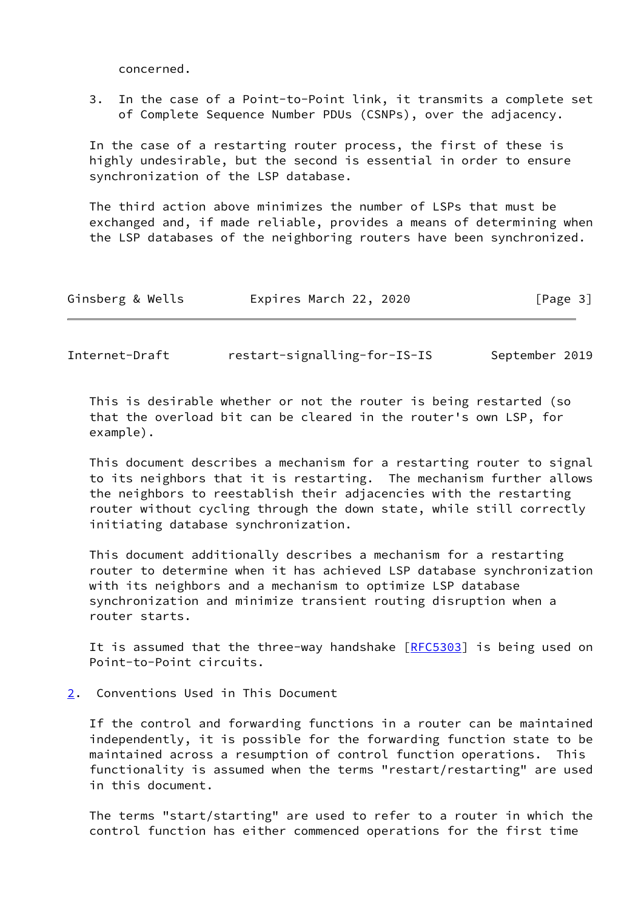concerned.

 3. In the case of a Point-to-Point link, it transmits a complete set of Complete Sequence Number PDUs (CSNPs), over the adjacency.

 In the case of a restarting router process, the first of these is highly undesirable, but the second is essential in order to ensure synchronization of the LSP database.

 The third action above minimizes the number of LSPs that must be exchanged and, if made reliable, provides a means of determining when the LSP databases of the neighboring routers have been synchronized.

<span id="page-3-1"></span>Internet-Draft restart-signalling-for-IS-IS September 2019

 This is desirable whether or not the router is being restarted (so that the overload bit can be cleared in the router's own LSP, for example).

 This document describes a mechanism for a restarting router to signal to its neighbors that it is restarting. The mechanism further allows the neighbors to reestablish their adjacencies with the restarting router without cycling through the down state, while still correctly initiating database synchronization.

 This document additionally describes a mechanism for a restarting router to determine when it has achieved LSP database synchronization with its neighbors and a mechanism to optimize LSP database synchronization and minimize transient routing disruption when a router starts.

It is assumed that the three-way handshake [[RFC5303\]](https://datatracker.ietf.org/doc/pdf/rfc5303) is being used on Point-to-Point circuits.

<span id="page-3-0"></span>[2](#page-3-0). Conventions Used in This Document

 If the control and forwarding functions in a router can be maintained independently, it is possible for the forwarding function state to be maintained across a resumption of control function operations. This functionality is assumed when the terms "restart/restarting" are used in this document.

 The terms "start/starting" are used to refer to a router in which the control function has either commenced operations for the first time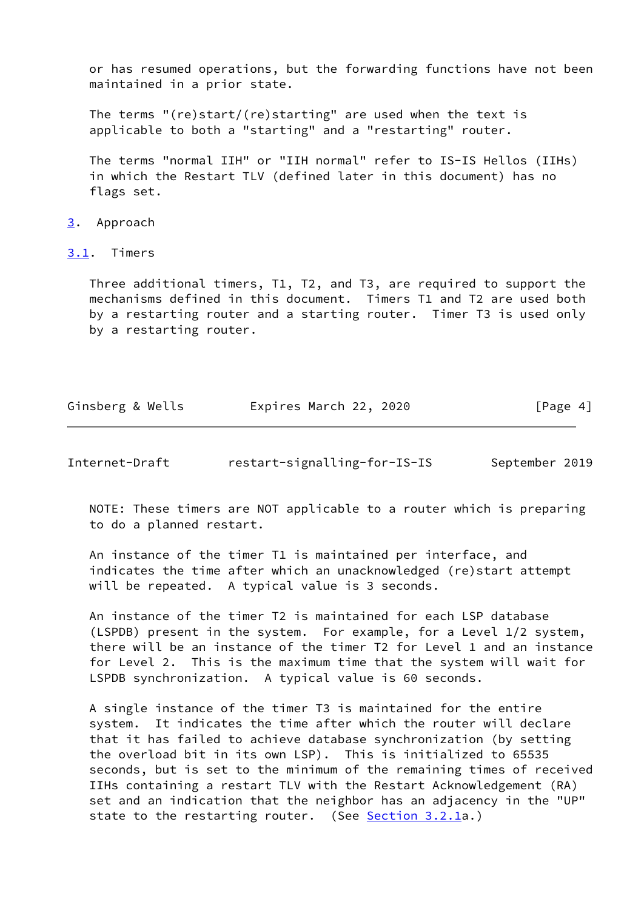or has resumed operations, but the forwarding functions have not been maintained in a prior state.

 The terms "(re)start/(re)starting" are used when the text is applicable to both a "starting" and a "restarting" router.

 The terms "normal IIH" or "IIH normal" refer to IS-IS Hellos (IIHs) in which the Restart TLV (defined later in this document) has no flags set.

### <span id="page-4-0"></span>[3](#page-4-0). Approach

## <span id="page-4-1"></span>[3.1](#page-4-1). Timers

 Three additional timers, T1, T2, and T3, are required to support the mechanisms defined in this document. Timers T1 and T2 are used both by a restarting router and a starting router. Timer T3 is used only by a restarting router.

| Ginsberg & Wells | Expires March 22, 2020 | [Page 4] |
|------------------|------------------------|----------|
|                  |                        |          |

<span id="page-4-2"></span>Internet-Draft restart-signalling-for-IS-IS September 2019

 NOTE: These timers are NOT applicable to a router which is preparing to do a planned restart.

 An instance of the timer T1 is maintained per interface, and indicates the time after which an unacknowledged (re)start attempt will be repeated. A typical value is 3 seconds.

 An instance of the timer T2 is maintained for each LSP database (LSPDB) present in the system. For example, for a Level 1/2 system, there will be an instance of the timer T2 for Level 1 and an instance for Level 2. This is the maximum time that the system will wait for LSPDB synchronization. A typical value is 60 seconds.

 A single instance of the timer T3 is maintained for the entire system. It indicates the time after which the router will declare that it has failed to achieve database synchronization (by setting the overload bit in its own LSP). This is initialized to 65535 seconds, but is set to the minimum of the remaining times of received IIHs containing a restart TLV with the Restart Acknowledgement (RA) set and an indication that the neighbor has an adjacency in the "UP" state to the restarting router. (See [Section 3.2.1a](#page-6-0).)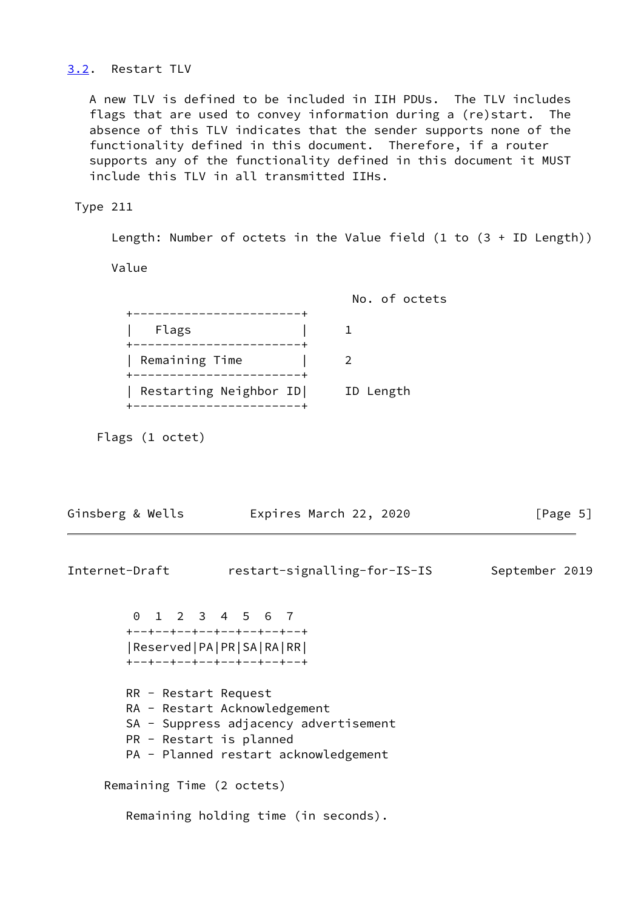## <span id="page-5-0"></span>[3.2](#page-5-0). Restart TLV

 A new TLV is defined to be included in IIH PDUs. The TLV includes flags that are used to convey information during a (re)start. The absence of this TLV indicates that the sender supports none of the functionality defined in this document. Therefore, if a router supports any of the functionality defined in this document it MUST include this TLV in all transmitted IIHs.

## Type 211

Length: Number of octets in the Value field (1 to (3 + ID Length))

Value

 No. of octets +-----------------------+ | Flags | 1 +-----------------------+ | Remaining Time | 2 +-----------------------+ | Restarting Neighbor ID| ID Length +-----------------------+

Flags (1 octet)

| Ginsberg & Wells                                | Expires March 22, 2020                                                                                        | [Page $5$ ]    |
|-------------------------------------------------|---------------------------------------------------------------------------------------------------------------|----------------|
| Internet-Draft                                  | restart-signalling-for-IS-IS                                                                                  | September 2019 |
| 0 1 2 3 4 5 6 7                                 | +--+--+--+--+--+--+--+--+<br> Reserved PA PR SA RA RR <br>+--+--+--+--+--+--+--+--+                           |                |
| RR - Restart Request<br>PR - Restart is planned | RA - Restart Acknowledgement<br>SA - Suppress adjacency advertisement<br>PA - Planned restart acknowledgement |                |
| Remaining Time (2 octets)                       |                                                                                                               |                |
|                                                 | Remaining holding time (in seconds).                                                                          |                |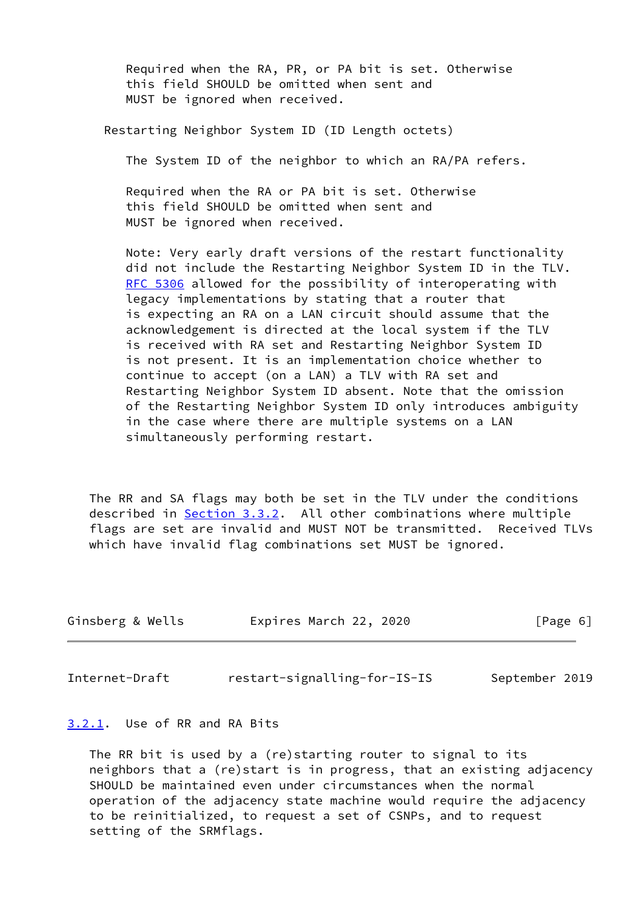Required when the RA, PR, or PA bit is set. Otherwise this field SHOULD be omitted when sent and MUST be ignored when received.

Restarting Neighbor System ID (ID Length octets)

The System ID of the neighbor to which an RA/PA refers.

 Required when the RA or PA bit is set. Otherwise this field SHOULD be omitted when sent and MUST be ignored when received.

 Note: Very early draft versions of the restart functionality did not include the Restarting Neighbor System ID in the TLV. [RFC 5306](https://datatracker.ietf.org/doc/pdf/rfc5306) allowed for the possibility of interoperating with legacy implementations by stating that a router that is expecting an RA on a LAN circuit should assume that the acknowledgement is directed at the local system if the TLV is received with RA set and Restarting Neighbor System ID is not present. It is an implementation choice whether to continue to accept (on a LAN) a TLV with RA set and Restarting Neighbor System ID absent. Note that the omission of the Restarting Neighbor System ID only introduces ambiguity in the case where there are multiple systems on a LAN simultaneously performing restart.

 The RR and SA flags may both be set in the TLV under the conditions described in [Section 3.3.2](#page-14-0). All other combinations where multiple flags are set are invalid and MUST NOT be transmitted. Received TLVs which have invalid flag combinations set MUST be ignored.

| Ginsberg & Wells | Expires March 22, 2020 | [Page 6] |  |
|------------------|------------------------|----------|--|
|                  |                        |          |  |

<span id="page-6-1"></span>Internet-Draft restart-signalling-for-IS-IS September 2019

## <span id="page-6-0"></span>[3.2.1](#page-6-0). Use of RR and RA Bits

 The RR bit is used by a (re)starting router to signal to its neighbors that a (re)start is in progress, that an existing adjacency SHOULD be maintained even under circumstances when the normal operation of the adjacency state machine would require the adjacency to be reinitialized, to request a set of CSNPs, and to request setting of the SRMflags.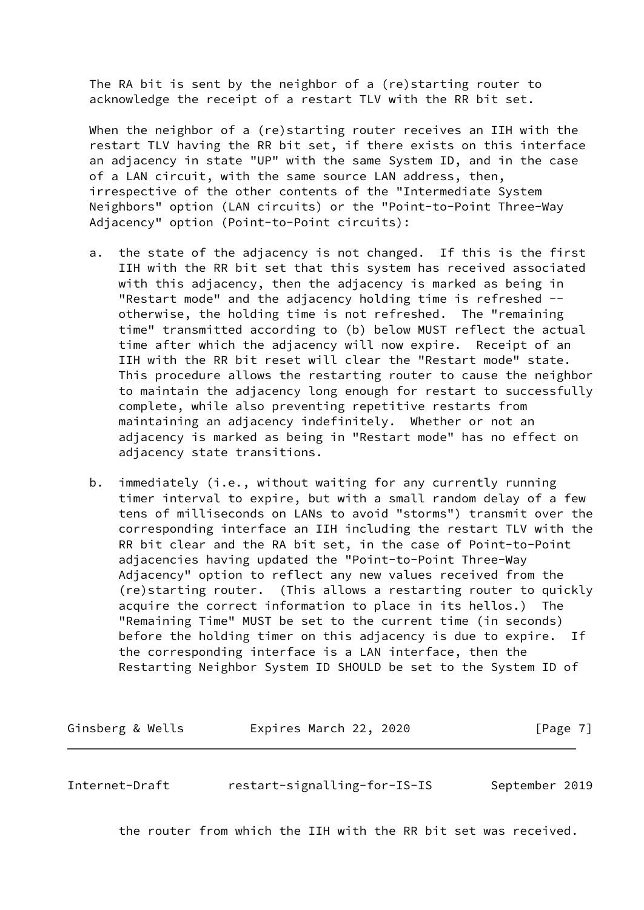The RA bit is sent by the neighbor of a (re)starting router to acknowledge the receipt of a restart TLV with the RR bit set.

When the neighbor of a (re)starting router receives an IIH with the restart TLV having the RR bit set, if there exists on this interface an adjacency in state "UP" with the same System ID, and in the case of a LAN circuit, with the same source LAN address, then, irrespective of the other contents of the "Intermediate System Neighbors" option (LAN circuits) or the "Point-to-Point Three-Way Adjacency" option (Point-to-Point circuits):

- a. the state of the adjacency is not changed. If this is the first IIH with the RR bit set that this system has received associated with this adjacency, then the adjacency is marked as being in "Restart mode" and the adjacency holding time is refreshed - otherwise, the holding time is not refreshed. The "remaining time" transmitted according to (b) below MUST reflect the actual time after which the adjacency will now expire. Receipt of an IIH with the RR bit reset will clear the "Restart mode" state. This procedure allows the restarting router to cause the neighbor to maintain the adjacency long enough for restart to successfully complete, while also preventing repetitive restarts from maintaining an adjacency indefinitely. Whether or not an adjacency is marked as being in "Restart mode" has no effect on adjacency state transitions.
- b. immediately (i.e., without waiting for any currently running timer interval to expire, but with a small random delay of a few tens of milliseconds on LANs to avoid "storms") transmit over the corresponding interface an IIH including the restart TLV with the RR bit clear and the RA bit set, in the case of Point-to-Point adjacencies having updated the "Point-to-Point Three-Way Adjacency" option to reflect any new values received from the (re)starting router. (This allows a restarting router to quickly acquire the correct information to place in its hellos.) The "Remaining Time" MUST be set to the current time (in seconds) before the holding timer on this adjacency is due to expire. If the corresponding interface is a LAN interface, then the Restarting Neighbor System ID SHOULD be set to the System ID of

Ginsberg & Wells **Expires March 22, 2020** [Page 7]

<span id="page-7-0"></span>Internet-Draft restart-signalling-for-IS-IS September 2019

the router from which the IIH with the RR bit set was received.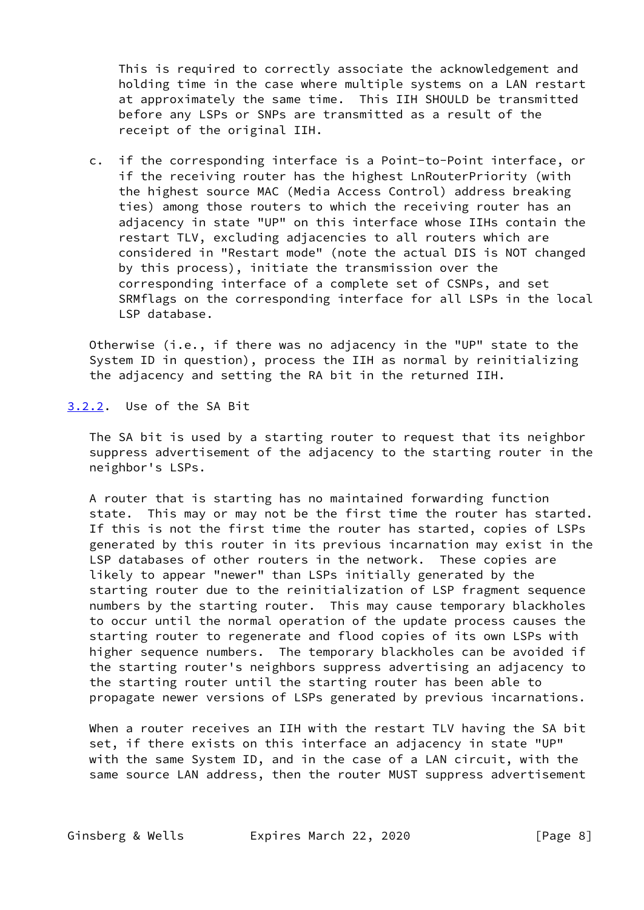This is required to correctly associate the acknowledgement and holding time in the case where multiple systems on a LAN restart at approximately the same time. This IIH SHOULD be transmitted before any LSPs or SNPs are transmitted as a result of the receipt of the original IIH.

 c. if the corresponding interface is a Point-to-Point interface, or if the receiving router has the highest LnRouterPriority (with the highest source MAC (Media Access Control) address breaking ties) among those routers to which the receiving router has an adjacency in state "UP" on this interface whose IIHs contain the restart TLV, excluding adjacencies to all routers which are considered in "Restart mode" (note the actual DIS is NOT changed by this process), initiate the transmission over the corresponding interface of a complete set of CSNPs, and set SRMflags on the corresponding interface for all LSPs in the local LSP database.

 Otherwise (i.e., if there was no adjacency in the "UP" state to the System ID in question), process the IIH as normal by reinitializing the adjacency and setting the RA bit in the returned IIH.

<span id="page-8-0"></span>[3.2.2](#page-8-0). Use of the SA Bit

 The SA bit is used by a starting router to request that its neighbor suppress advertisement of the adjacency to the starting router in the neighbor's LSPs.

 A router that is starting has no maintained forwarding function state. This may or may not be the first time the router has started. If this is not the first time the router has started, copies of LSPs generated by this router in its previous incarnation may exist in the LSP databases of other routers in the network. These copies are likely to appear "newer" than LSPs initially generated by the starting router due to the reinitialization of LSP fragment sequence numbers by the starting router. This may cause temporary blackholes to occur until the normal operation of the update process causes the starting router to regenerate and flood copies of its own LSPs with higher sequence numbers. The temporary blackholes can be avoided if the starting router's neighbors suppress advertising an adjacency to the starting router until the starting router has been able to propagate newer versions of LSPs generated by previous incarnations.

When a router receives an IIH with the restart TLV having the SA bit set, if there exists on this interface an adjacency in state "UP" with the same System ID, and in the case of a LAN circuit, with the same source LAN address, then the router MUST suppress advertisement

Ginsberg & Wells **Expires March 22, 2020** [Page 8]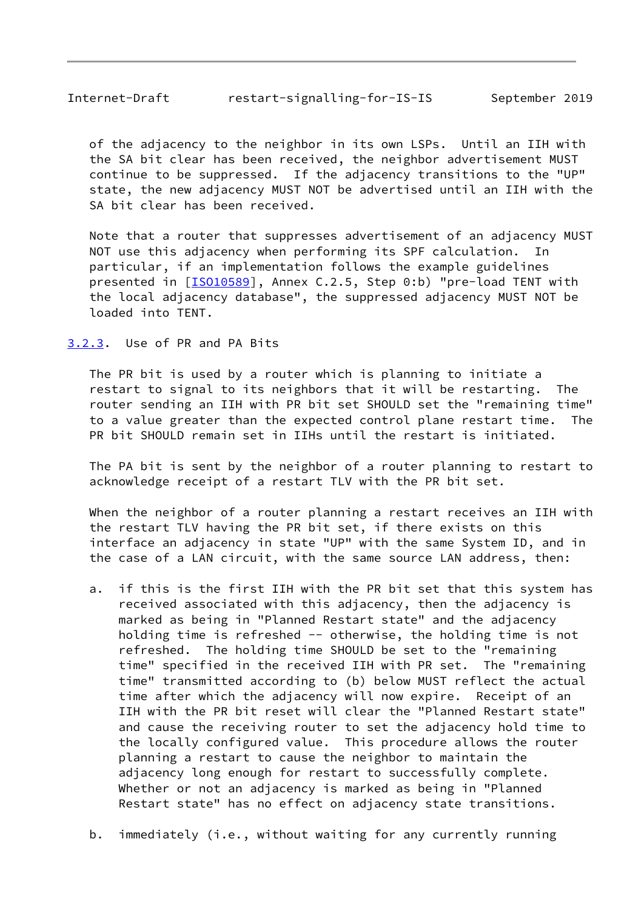<span id="page-9-1"></span>

| Internet-Draft | restart-signalling-for-IS-IS | September 2019 |  |
|----------------|------------------------------|----------------|--|
|                |                              |                |  |

 of the adjacency to the neighbor in its own LSPs. Until an IIH with the SA bit clear has been received, the neighbor advertisement MUST continue to be suppressed. If the adjacency transitions to the "UP" state, the new adjacency MUST NOT be advertised until an IIH with the SA bit clear has been received.

 Note that a router that suppresses advertisement of an adjacency MUST NOT use this adjacency when performing its SPF calculation. particular, if an implementation follows the example guidelines presented in [\[ISO10589](#page-26-4)], Annex C.2.5, Step 0:b) "pre-load TENT with the local adjacency database", the suppressed adjacency MUST NOT be loaded into TENT.

<span id="page-9-0"></span>[3.2.3](#page-9-0). Use of PR and PA Bits

 The PR bit is used by a router which is planning to initiate a restart to signal to its neighbors that it will be restarting. The router sending an IIH with PR bit set SHOULD set the "remaining time" to a value greater than the expected control plane restart time. The PR bit SHOULD remain set in IIHs until the restart is initiated.

 The PA bit is sent by the neighbor of a router planning to restart to acknowledge receipt of a restart TLV with the PR bit set.

 When the neighbor of a router planning a restart receives an IIH with the restart TLV having the PR bit set, if there exists on this interface an adjacency in state "UP" with the same System ID, and in the case of a LAN circuit, with the same source LAN address, then:

- a. if this is the first IIH with the PR bit set that this system has received associated with this adjacency, then the adjacency is marked as being in "Planned Restart state" and the adjacency holding time is refreshed -- otherwise, the holding time is not refreshed. The holding time SHOULD be set to the "remaining time" specified in the received IIH with PR set. The "remaining time" transmitted according to (b) below MUST reflect the actual time after which the adjacency will now expire. Receipt of an IIH with the PR bit reset will clear the "Planned Restart state" and cause the receiving router to set the adjacency hold time to the locally configured value. This procedure allows the router planning a restart to cause the neighbor to maintain the adjacency long enough for restart to successfully complete. Whether or not an adjacency is marked as being in "Planned Restart state" has no effect on adjacency state transitions.
- b. immediately (i.e., without waiting for any currently running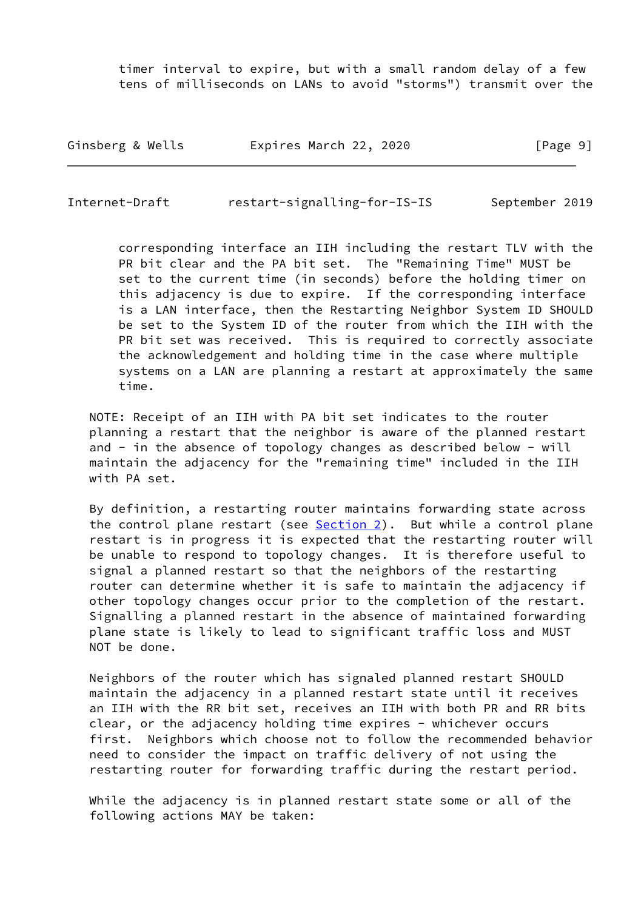timer interval to expire, but with a small random delay of a few tens of milliseconds on LANs to avoid "storms") transmit over the

| Ginsberg & Wells | Expires March 22, 2020 | [Page 9] |
|------------------|------------------------|----------|
|------------------|------------------------|----------|

Internet-Draft restart-signalling-for-IS-IS September 2019

 corresponding interface an IIH including the restart TLV with the PR bit clear and the PA bit set. The "Remaining Time" MUST be set to the current time (in seconds) before the holding timer on this adjacency is due to expire. If the corresponding interface is a LAN interface, then the Restarting Neighbor System ID SHOULD be set to the System ID of the router from which the IIH with the PR bit set was received. This is required to correctly associate the acknowledgement and holding time in the case where multiple systems on a LAN are planning a restart at approximately the same time.

 NOTE: Receipt of an IIH with PA bit set indicates to the router planning a restart that the neighbor is aware of the planned restart and - in the absence of topology changes as described below - will maintain the adjacency for the "remaining time" included in the IIH with PA set.

 By definition, a restarting router maintains forwarding state across the control plane restart (see [Section 2\)](#page-3-0). But while a control plane restart is in progress it is expected that the restarting router will be unable to respond to topology changes. It is therefore useful to signal a planned restart so that the neighbors of the restarting router can determine whether it is safe to maintain the adjacency if other topology changes occur prior to the completion of the restart. Signalling a planned restart in the absence of maintained forwarding plane state is likely to lead to significant traffic loss and MUST NOT be done.

 Neighbors of the router which has signaled planned restart SHOULD maintain the adjacency in a planned restart state until it receives an IIH with the RR bit set, receives an IIH with both PR and RR bits clear, or the adjacency holding time expires - whichever occurs first. Neighbors which choose not to follow the recommended behavior need to consider the impact on traffic delivery of not using the restarting router for forwarding traffic during the restart period.

 While the adjacency is in planned restart state some or all of the following actions MAY be taken: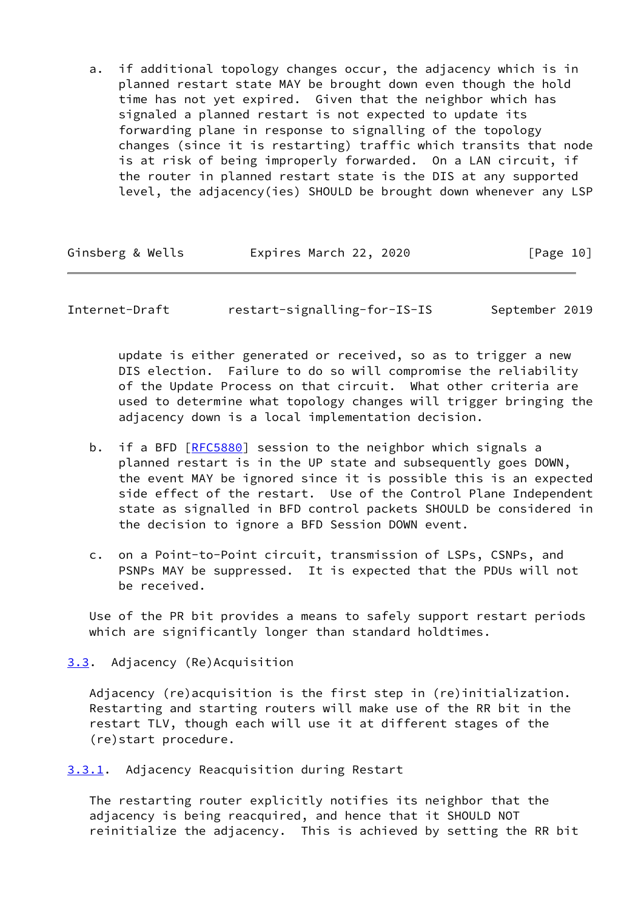a. if additional topology changes occur, the adjacency which is in planned restart state MAY be brought down even though the hold time has not yet expired. Given that the neighbor which has signaled a planned restart is not expected to update its forwarding plane in response to signalling of the topology changes (since it is restarting) traffic which transits that node is at risk of being improperly forwarded. On a LAN circuit, if the router in planned restart state is the DIS at any supported level, the adjacency(ies) SHOULD be brought down whenever any LSP

| Ginsberg & Wells | Expires March 22, 2020 | [Page 10] |
|------------------|------------------------|-----------|
|                  |                        |           |

<span id="page-11-1"></span>Internet-Draft restart-signalling-for-IS-IS September 2019

 update is either generated or received, so as to trigger a new DIS election. Failure to do so will compromise the reliability of the Update Process on that circuit. What other criteria are used to determine what topology changes will trigger bringing the adjacency down is a local implementation decision.

- b. if a BFD [\[RFC5880](https://datatracker.ietf.org/doc/pdf/rfc5880)] session to the neighbor which signals a planned restart is in the UP state and subsequently goes DOWN, the event MAY be ignored since it is possible this is an expected side effect of the restart. Use of the Control Plane Independent state as signalled in BFD control packets SHOULD be considered in the decision to ignore a BFD Session DOWN event.
- c. on a Point-to-Point circuit, transmission of LSPs, CSNPs, and PSNPs MAY be suppressed. It is expected that the PDUs will not be received.

 Use of the PR bit provides a means to safely support restart periods which are significantly longer than standard holdtimes.

# <span id="page-11-0"></span>[3.3](#page-11-0). Adjacency (Re)Acquisition

 Adjacency (re)acquisition is the first step in (re)initialization. Restarting and starting routers will make use of the RR bit in the restart TLV, though each will use it at different stages of the (re)start procedure.

<span id="page-11-2"></span>[3.3.1](#page-11-2). Adjacency Reacquisition during Restart

 The restarting router explicitly notifies its neighbor that the adjacency is being reacquired, and hence that it SHOULD NOT reinitialize the adjacency. This is achieved by setting the RR bit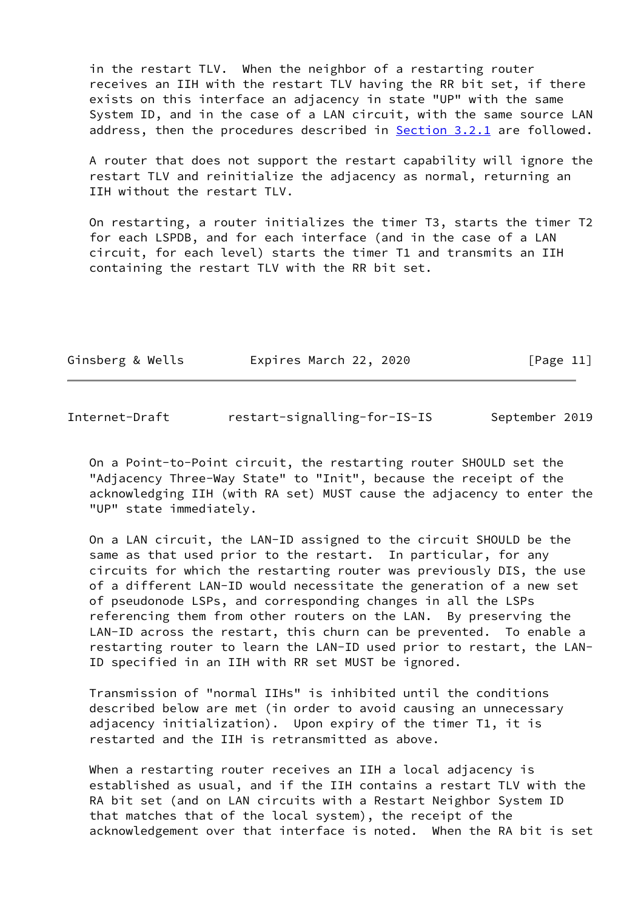in the restart TLV. When the neighbor of a restarting router receives an IIH with the restart TLV having the RR bit set, if there exists on this interface an adjacency in state "UP" with the same System ID, and in the case of a LAN circuit, with the same source LAN address, then the procedures described in **Section 3.2.1** are followed.

 A router that does not support the restart capability will ignore the restart TLV and reinitialize the adjacency as normal, returning an IIH without the restart TLV.

 On restarting, a router initializes the timer T3, starts the timer T2 for each LSPDB, and for each interface (and in the case of a LAN circuit, for each level) starts the timer T1 and transmits an IIH containing the restart TLV with the RR bit set.

| Ginsberg & Wells | Expires March 22, 2020 | [Page 11] |  |
|------------------|------------------------|-----------|--|
|                  |                        |           |  |

| Internet-Draft | restart-signalling-for-IS-IS | September 2019 |
|----------------|------------------------------|----------------|
|----------------|------------------------------|----------------|

 On a Point-to-Point circuit, the restarting router SHOULD set the "Adjacency Three-Way State" to "Init", because the receipt of the acknowledging IIH (with RA set) MUST cause the adjacency to enter the "UP" state immediately.

 On a LAN circuit, the LAN-ID assigned to the circuit SHOULD be the same as that used prior to the restart. In particular, for any circuits for which the restarting router was previously DIS, the use of a different LAN-ID would necessitate the generation of a new set of pseudonode LSPs, and corresponding changes in all the LSPs referencing them from other routers on the LAN. By preserving the LAN-ID across the restart, this churn can be prevented. To enable a restarting router to learn the LAN-ID used prior to restart, the LAN- ID specified in an IIH with RR set MUST be ignored.

 Transmission of "normal IIHs" is inhibited until the conditions described below are met (in order to avoid causing an unnecessary adjacency initialization). Upon expiry of the timer T1, it is restarted and the IIH is retransmitted as above.

When a restarting router receives an IIH a local adjacency is established as usual, and if the IIH contains a restart TLV with the RA bit set (and on LAN circuits with a Restart Neighbor System ID that matches that of the local system), the receipt of the acknowledgement over that interface is noted. When the RA bit is set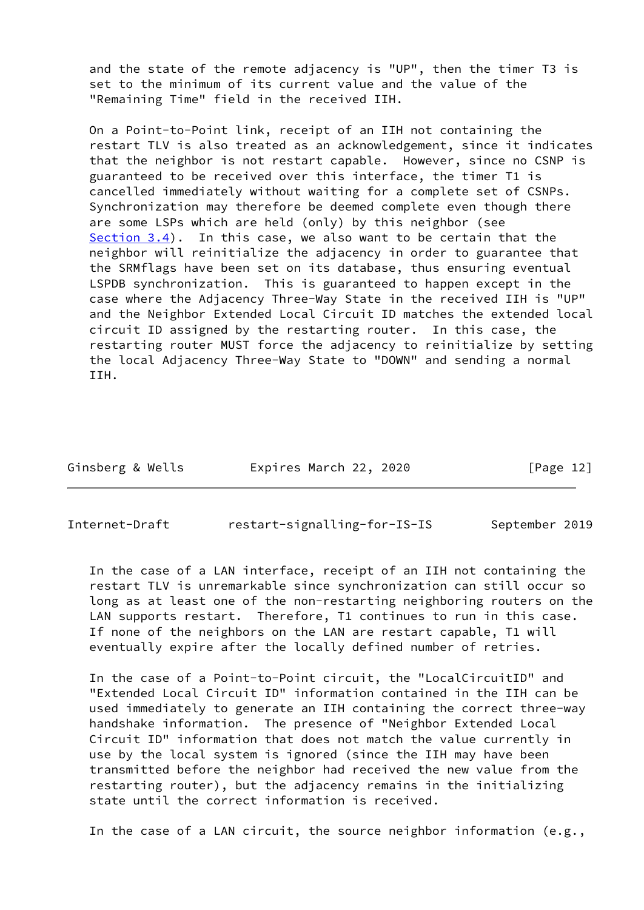and the state of the remote adjacency is "UP", then the timer T3 is set to the minimum of its current value and the value of the "Remaining Time" field in the received IIH.

 On a Point-to-Point link, receipt of an IIH not containing the restart TLV is also treated as an acknowledgement, since it indicates that the neighbor is not restart capable. However, since no CSNP is guaranteed to be received over this interface, the timer T1 is cancelled immediately without waiting for a complete set of CSNPs. Synchronization may therefore be deemed complete even though there are some LSPs which are held (only) by this neighbor (see [Section 3.4](#page-16-1)). In this case, we also want to be certain that the neighbor will reinitialize the adjacency in order to guarantee that the SRMflags have been set on its database, thus ensuring eventual LSPDB synchronization. This is guaranteed to happen except in the case where the Adjacency Three-Way State in the received IIH is "UP" and the Neighbor Extended Local Circuit ID matches the extended local circuit ID assigned by the restarting router. In this case, the restarting router MUST force the adjacency to reinitialize by setting the local Adjacency Three-Way State to "DOWN" and sending a normal IIH.

| Ginsberg & Wells | Expires March 22, 2020 | [Page 12] |
|------------------|------------------------|-----------|
|                  |                        |           |

<span id="page-13-0"></span>Internet-Draft restart-signalling-for-IS-IS September 2019

 In the case of a LAN interface, receipt of an IIH not containing the restart TLV is unremarkable since synchronization can still occur so long as at least one of the non-restarting neighboring routers on the LAN supports restart. Therefore, T1 continues to run in this case. If none of the neighbors on the LAN are restart capable, T1 will eventually expire after the locally defined number of retries.

 In the case of a Point-to-Point circuit, the "LocalCircuitID" and "Extended Local Circuit ID" information contained in the IIH can be used immediately to generate an IIH containing the correct three-way handshake information. The presence of "Neighbor Extended Local Circuit ID" information that does not match the value currently in use by the local system is ignored (since the IIH may have been transmitted before the neighbor had received the new value from the restarting router), but the adjacency remains in the initializing state until the correct information is received.

In the case of a LAN circuit, the source neighbor information (e.g.,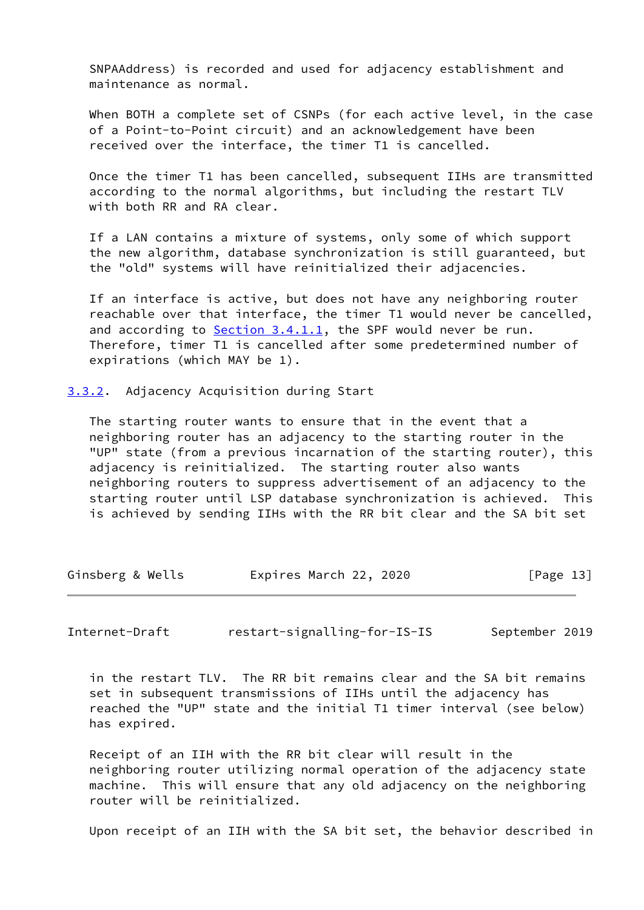SNPAAddress) is recorded and used for adjacency establishment and maintenance as normal.

 When BOTH a complete set of CSNPs (for each active level, in the case of a Point-to-Point circuit) and an acknowledgement have been received over the interface, the timer T1 is cancelled.

 Once the timer T1 has been cancelled, subsequent IIHs are transmitted according to the normal algorithms, but including the restart TLV with both RR and RA clear.

 If a LAN contains a mixture of systems, only some of which support the new algorithm, database synchronization is still guaranteed, but the "old" systems will have reinitialized their adjacencies.

 If an interface is active, but does not have any neighboring router reachable over that interface, the timer T1 would never be cancelled, and according to [Section 3.4.1.1](#page-17-2), the SPF would never be run. Therefore, timer T1 is cancelled after some predetermined number of expirations (which MAY be 1).

<span id="page-14-0"></span>[3.3.2](#page-14-0). Adjacency Acquisition during Start

 The starting router wants to ensure that in the event that a neighboring router has an adjacency to the starting router in the "UP" state (from a previous incarnation of the starting router), this adjacency is reinitialized. The starting router also wants neighboring routers to suppress advertisement of an adjacency to the starting router until LSP database synchronization is achieved. This is achieved by sending IIHs with the RR bit clear and the SA bit set

| Ginsberg & Wells | Expires March 22, 2020 | [Page 13] |
|------------------|------------------------|-----------|
|------------------|------------------------|-----------|

Internet-Draft restart-signalling-for-IS-IS September 2019

 in the restart TLV. The RR bit remains clear and the SA bit remains set in subsequent transmissions of IIHs until the adjacency has reached the "UP" state and the initial T1 timer interval (see below) has expired.

 Receipt of an IIH with the RR bit clear will result in the neighboring router utilizing normal operation of the adjacency state machine. This will ensure that any old adjacency on the neighboring router will be reinitialized.

Upon receipt of an IIH with the SA bit set, the behavior described in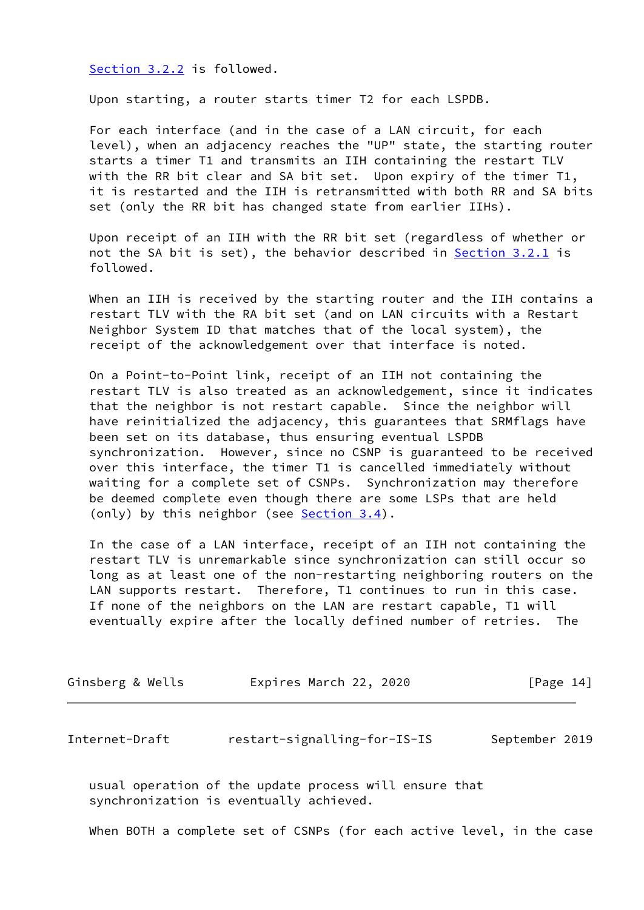[Section 3.2.2](#page-8-0) is followed.

Upon starting, a router starts timer T2 for each LSPDB.

 For each interface (and in the case of a LAN circuit, for each level), when an adjacency reaches the "UP" state, the starting router starts a timer T1 and transmits an IIH containing the restart TLV with the RR bit clear and SA bit set. Upon expiry of the timer T1, it is restarted and the IIH is retransmitted with both RR and SA bits set (only the RR bit has changed state from earlier IIHs).

 Upon receipt of an IIH with the RR bit set (regardless of whether or not the SA bit is set), the behavior described in [Section 3.2.1](#page-6-0) is followed.

 When an IIH is received by the starting router and the IIH contains a restart TLV with the RA bit set (and on LAN circuits with a Restart Neighbor System ID that matches that of the local system), the receipt of the acknowledgement over that interface is noted.

 On a Point-to-Point link, receipt of an IIH not containing the restart TLV is also treated as an acknowledgement, since it indicates that the neighbor is not restart capable. Since the neighbor will have reinitialized the adjacency, this guarantees that SRMflags have been set on its database, thus ensuring eventual LSPDB synchronization. However, since no CSNP is guaranteed to be received over this interface, the timer T1 is cancelled immediately without waiting for a complete set of CSNPs. Synchronization may therefore be deemed complete even though there are some LSPs that are held (only) by this neighbor (see [Section 3.4](#page-16-1)).

 In the case of a LAN interface, receipt of an IIH not containing the restart TLV is unremarkable since synchronization can still occur so long as at least one of the non-restarting neighboring routers on the LAN supports restart. Therefore, T1 continues to run in this case. If none of the neighbors on the LAN are restart capable, T1 will eventually expire after the locally defined number of retries. The

| Ginsberg & Wells | Expires March 22, 2020 | [Page 14] |
|------------------|------------------------|-----------|
|                  |                        |           |

<span id="page-15-0"></span>Internet-Draft restart-signalling-for-IS-IS September 2019

 usual operation of the update process will ensure that synchronization is eventually achieved.

When BOTH a complete set of CSNPs (for each active level, in the case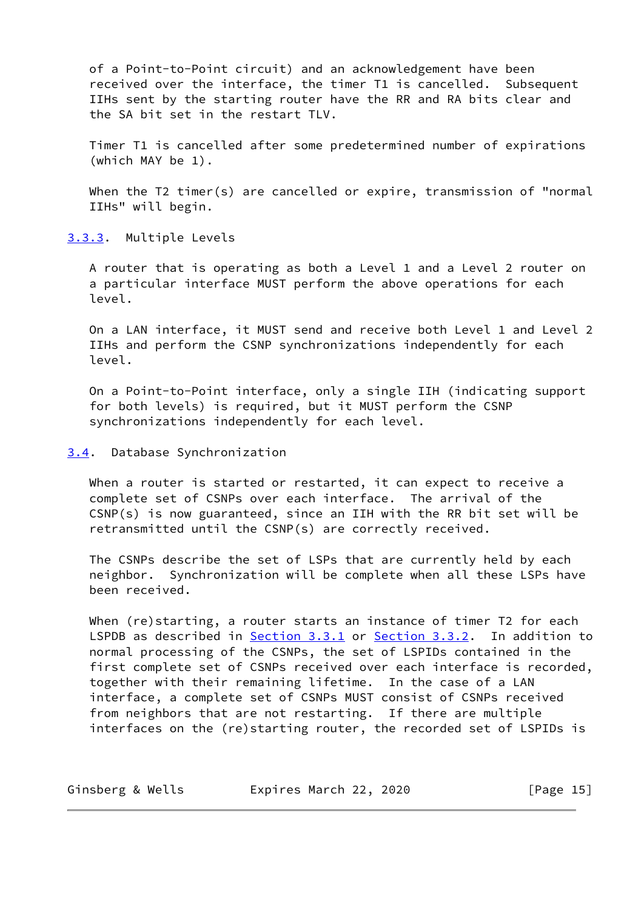of a Point-to-Point circuit) and an acknowledgement have been received over the interface, the timer T1 is cancelled. Subsequent IIHs sent by the starting router have the RR and RA bits clear and the SA bit set in the restart TLV.

 Timer T1 is cancelled after some predetermined number of expirations (which MAY be 1).

 When the T2 timer(s) are cancelled or expire, transmission of "normal IIHs" will begin.

<span id="page-16-0"></span>[3.3.3](#page-16-0). Multiple Levels

 A router that is operating as both a Level 1 and a Level 2 router on a particular interface MUST perform the above operations for each level.

 On a LAN interface, it MUST send and receive both Level 1 and Level 2 IIHs and perform the CSNP synchronizations independently for each level.

 On a Point-to-Point interface, only a single IIH (indicating support for both levels) is required, but it MUST perform the CSNP synchronizations independently for each level.

<span id="page-16-1"></span>[3.4](#page-16-1). Database Synchronization

 When a router is started or restarted, it can expect to receive a complete set of CSNPs over each interface. The arrival of the CSNP(s) is now guaranteed, since an IIH with the RR bit set will be retransmitted until the CSNP(s) are correctly received.

 The CSNPs describe the set of LSPs that are currently held by each neighbor. Synchronization will be complete when all these LSPs have been received.

 When (re)starting, a router starts an instance of timer T2 for each LSPDB as described in [Section 3.3.1](#page-11-2) or [Section 3.3.2.](#page-14-0) In addition to normal processing of the CSNPs, the set of LSPIDs contained in the first complete set of CSNPs received over each interface is recorded, together with their remaining lifetime. In the case of a LAN interface, a complete set of CSNPs MUST consist of CSNPs received from neighbors that are not restarting. If there are multiple interfaces on the (re)starting router, the recorded set of LSPIDs is

| Ginsberg & Wells | Expires March 22, 2020 | [Page 15] |
|------------------|------------------------|-----------|
|------------------|------------------------|-----------|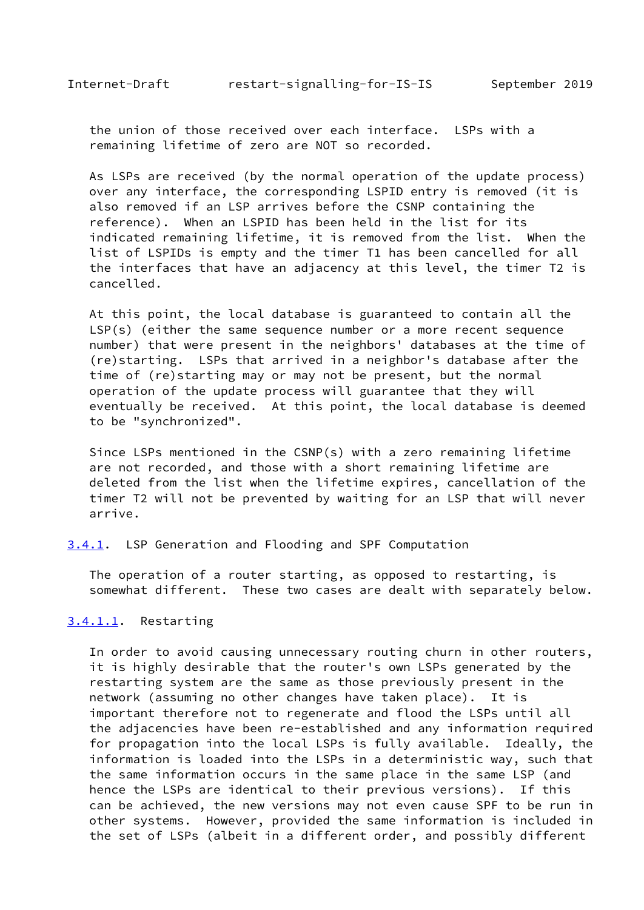<span id="page-17-1"></span> the union of those received over each interface. LSPs with a remaining lifetime of zero are NOT so recorded.

 As LSPs are received (by the normal operation of the update process) over any interface, the corresponding LSPID entry is removed (it is also removed if an LSP arrives before the CSNP containing the reference). When an LSPID has been held in the list for its indicated remaining lifetime, it is removed from the list. When the list of LSPIDs is empty and the timer T1 has been cancelled for all the interfaces that have an adjacency at this level, the timer T2 is cancelled.

 At this point, the local database is guaranteed to contain all the LSP(s) (either the same sequence number or a more recent sequence number) that were present in the neighbors' databases at the time of (re)starting. LSPs that arrived in a neighbor's database after the time of (re)starting may or may not be present, but the normal operation of the update process will guarantee that they will eventually be received. At this point, the local database is deemed to be "synchronized".

 Since LSPs mentioned in the CSNP(s) with a zero remaining lifetime are not recorded, and those with a short remaining lifetime are deleted from the list when the lifetime expires, cancellation of the timer T2 will not be prevented by waiting for an LSP that will never arrive.

<span id="page-17-0"></span>[3.4.1](#page-17-0). LSP Generation and Flooding and SPF Computation

 The operation of a router starting, as opposed to restarting, is somewhat different. These two cases are dealt with separately below.

#### <span id="page-17-2"></span>[3.4.1.1](#page-17-2). Restarting

 In order to avoid causing unnecessary routing churn in other routers, it is highly desirable that the router's own LSPs generated by the restarting system are the same as those previously present in the network (assuming no other changes have taken place). It is important therefore not to regenerate and flood the LSPs until all the adjacencies have been re-established and any information required for propagation into the local LSPs is fully available. Ideally, the information is loaded into the LSPs in a deterministic way, such that the same information occurs in the same place in the same LSP (and hence the LSPs are identical to their previous versions). If this can be achieved, the new versions may not even cause SPF to be run in other systems. However, provided the same information is included in the set of LSPs (albeit in a different order, and possibly different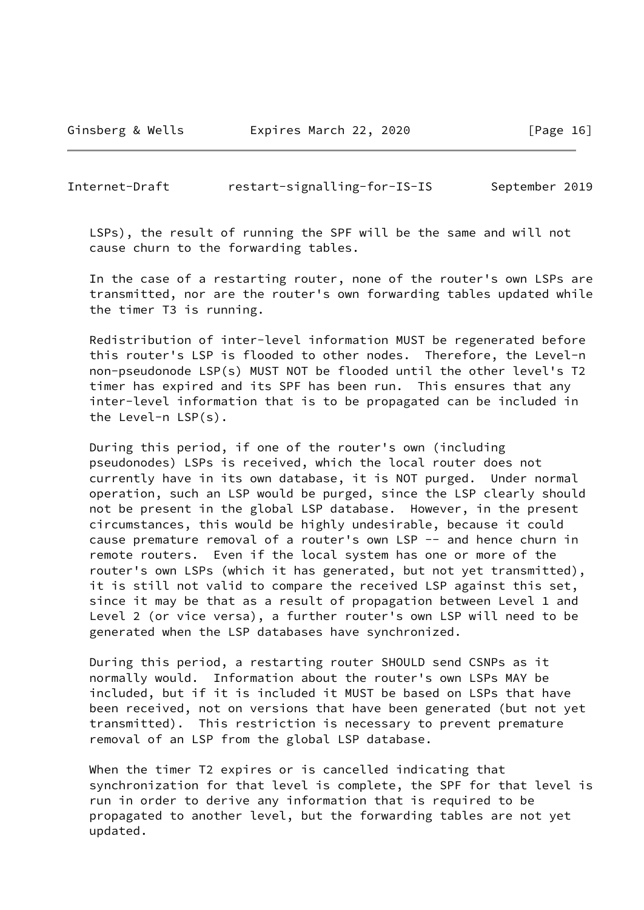Ginsberg & Wells **Expires March 22, 2020** [Page 16]

Internet-Draft restart-signalling-for-IS-IS September 2019

 LSPs), the result of running the SPF will be the same and will not cause churn to the forwarding tables.

 In the case of a restarting router, none of the router's own LSPs are transmitted, nor are the router's own forwarding tables updated while the timer T3 is running.

 Redistribution of inter-level information MUST be regenerated before this router's LSP is flooded to other nodes. Therefore, the Level-n non-pseudonode LSP(s) MUST NOT be flooded until the other level's T2 timer has expired and its SPF has been run. This ensures that any inter-level information that is to be propagated can be included in the Level-n LSP(s).

 During this period, if one of the router's own (including pseudonodes) LSPs is received, which the local router does not currently have in its own database, it is NOT purged. Under normal operation, such an LSP would be purged, since the LSP clearly should not be present in the global LSP database. However, in the present circumstances, this would be highly undesirable, because it could cause premature removal of a router's own LSP -- and hence churn in remote routers. Even if the local system has one or more of the router's own LSPs (which it has generated, but not yet transmitted), it is still not valid to compare the received LSP against this set, since it may be that as a result of propagation between Level 1 and Level 2 (or vice versa), a further router's own LSP will need to be generated when the LSP databases have synchronized.

 During this period, a restarting router SHOULD send CSNPs as it normally would. Information about the router's own LSPs MAY be included, but if it is included it MUST be based on LSPs that have been received, not on versions that have been generated (but not yet transmitted). This restriction is necessary to prevent premature removal of an LSP from the global LSP database.

 When the timer T2 expires or is cancelled indicating that synchronization for that level is complete, the SPF for that level is run in order to derive any information that is required to be propagated to another level, but the forwarding tables are not yet updated.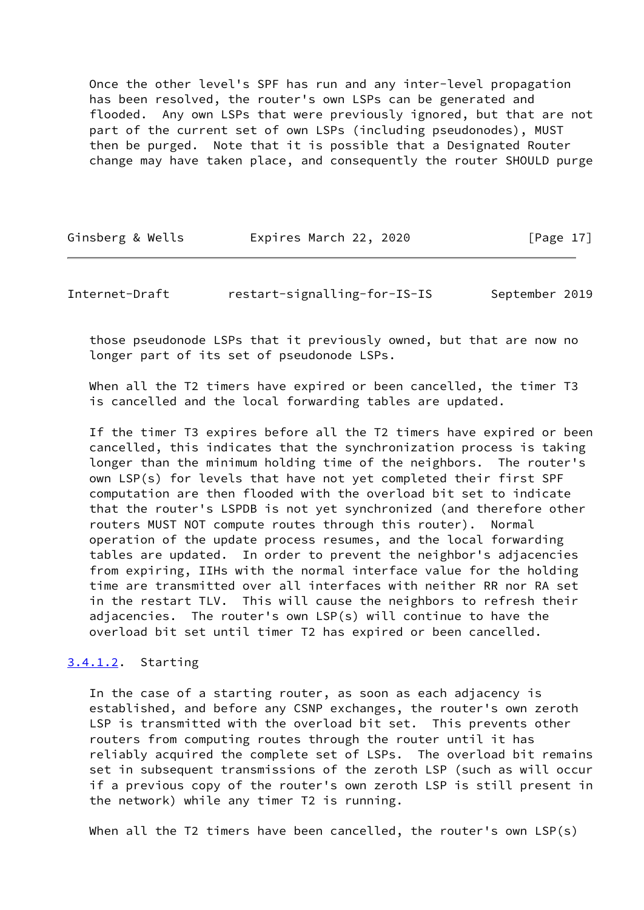Once the other level's SPF has run and any inter-level propagation has been resolved, the router's own LSPs can be generated and flooded. Any own LSPs that were previously ignored, but that are not part of the current set of own LSPs (including pseudonodes), MUST then be purged. Note that it is possible that a Designated Router change may have taken place, and consequently the router SHOULD purge

| Ginsberg & Wells | Expires March 22, 2020 | [Page 17] |
|------------------|------------------------|-----------|
|------------------|------------------------|-----------|

Internet-Draft restart-signalling-for-IS-IS September 2019

 those pseudonode LSPs that it previously owned, but that are now no longer part of its set of pseudonode LSPs.

When all the T2 timers have expired or been cancelled, the timer T3 is cancelled and the local forwarding tables are updated.

 If the timer T3 expires before all the T2 timers have expired or been cancelled, this indicates that the synchronization process is taking longer than the minimum holding time of the neighbors. The router's own LSP(s) for levels that have not yet completed their first SPF computation are then flooded with the overload bit set to indicate that the router's LSPDB is not yet synchronized (and therefore other routers MUST NOT compute routes through this router). Normal operation of the update process resumes, and the local forwarding tables are updated. In order to prevent the neighbor's adjacencies from expiring, IIHs with the normal interface value for the holding time are transmitted over all interfaces with neither RR nor RA set in the restart TLV. This will cause the neighbors to refresh their adjacencies. The router's own LSP(s) will continue to have the overload bit set until timer T2 has expired or been cancelled.

## <span id="page-19-0"></span>[3.4.1.2](#page-19-0). Starting

 In the case of a starting router, as soon as each adjacency is established, and before any CSNP exchanges, the router's own zeroth LSP is transmitted with the overload bit set. This prevents other routers from computing routes through the router until it has reliably acquired the complete set of LSPs. The overload bit remains set in subsequent transmissions of the zeroth LSP (such as will occur if a previous copy of the router's own zeroth LSP is still present in the network) while any timer T2 is running.

When all the T2 timers have been cancelled, the router's own LSP(s)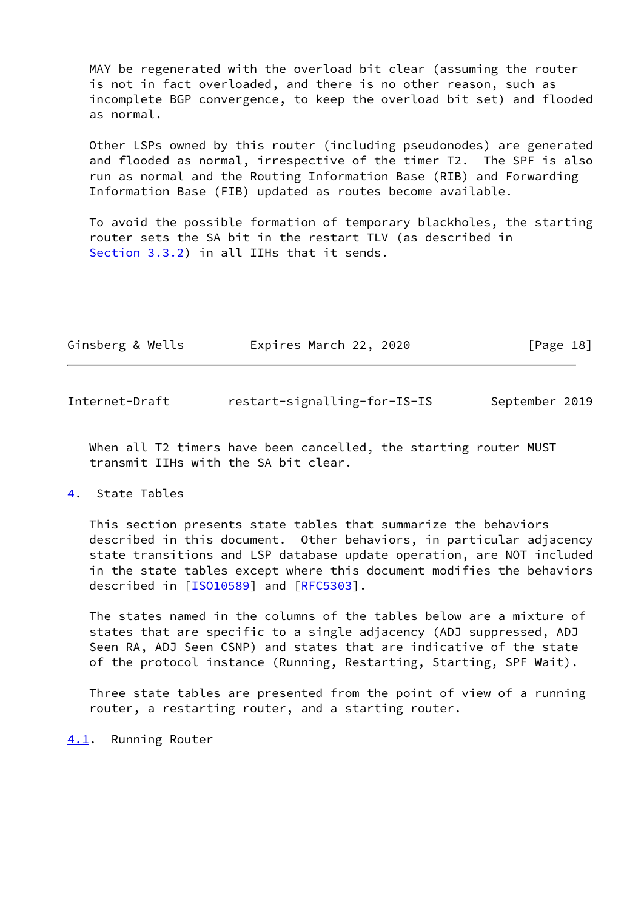MAY be regenerated with the overload bit clear (assuming the router is not in fact overloaded, and there is no other reason, such as incomplete BGP convergence, to keep the overload bit set) and flooded as normal.

 Other LSPs owned by this router (including pseudonodes) are generated and flooded as normal, irrespective of the timer T2. The SPF is also run as normal and the Routing Information Base (RIB) and Forwarding Information Base (FIB) updated as routes become available.

 To avoid the possible formation of temporary blackholes, the starting router sets the SA bit in the restart TLV (as described in [Section 3.3.2](#page-14-0)) in all IIHs that it sends.

| Ginsberg & Wells | Expires March 22, 2020 | [Page 18] |  |
|------------------|------------------------|-----------|--|
|                  |                        |           |  |

<span id="page-20-1"></span>Internet-Draft restart-signalling-for-IS-IS September 2019

When all T2 timers have been cancelled, the starting router MUST transmit IIHs with the SA bit clear.

### <span id="page-20-0"></span>[4](#page-20-0). State Tables

 This section presents state tables that summarize the behaviors described in this document. Other behaviors, in particular adjacency state transitions and LSP database update operation, are NOT included in the state tables except where this document modifies the behaviors described in [\[ISO10589](#page-26-4)] and [\[RFC5303](https://datatracker.ietf.org/doc/pdf/rfc5303)].

 The states named in the columns of the tables below are a mixture of states that are specific to a single adjacency (ADJ suppressed, ADJ Seen RA, ADJ Seen CSNP) and states that are indicative of the state of the protocol instance (Running, Restarting, Starting, SPF Wait).

 Three state tables are presented from the point of view of a running router, a restarting router, and a starting router.

<span id="page-20-2"></span>[4.1](#page-20-2). Running Router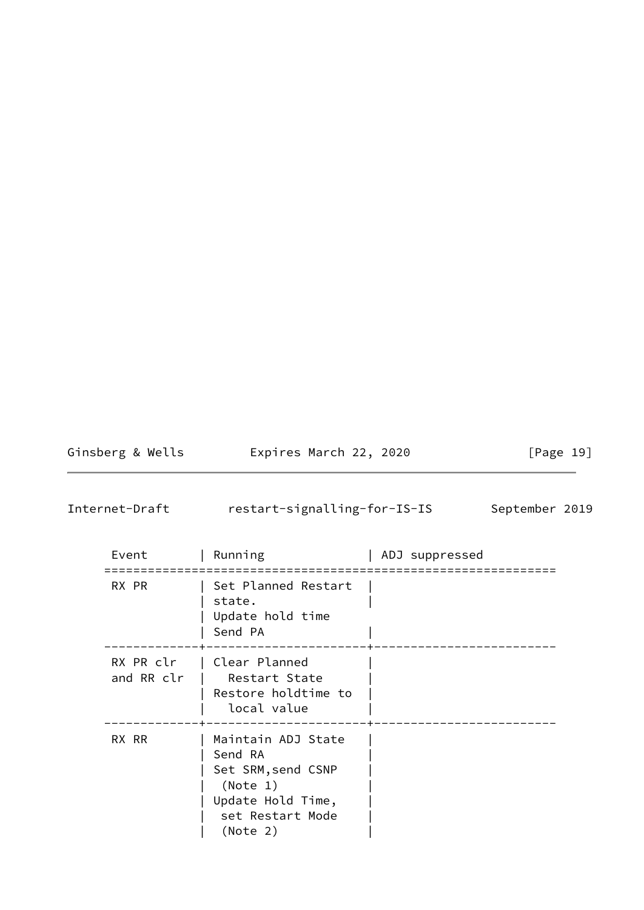Ginsberg & Wells **Expires March 22, 2020** [Page 19]

<span id="page-21-0"></span>Internet-Draft restart-signalling-for-IS-IS September 2019

| Event                   | Running                                                                                                              | ADJ suppressed |
|-------------------------|----------------------------------------------------------------------------------------------------------------------|----------------|
| RX PR                   | Set Planned Restart<br>state.<br>Update hold time<br>Send PA                                                         |                |
| RX PR clr<br>and RR clr | Clear Planned<br>Restart State<br>Restore holdtime to<br>local value                                                 |                |
| RX RR                   | Maintain ADJ State<br>Send RA<br>Set SRM, send CSNP<br>(Note 1)<br>Update Hold Time,<br>set Restart Mode<br>(Note 2) |                |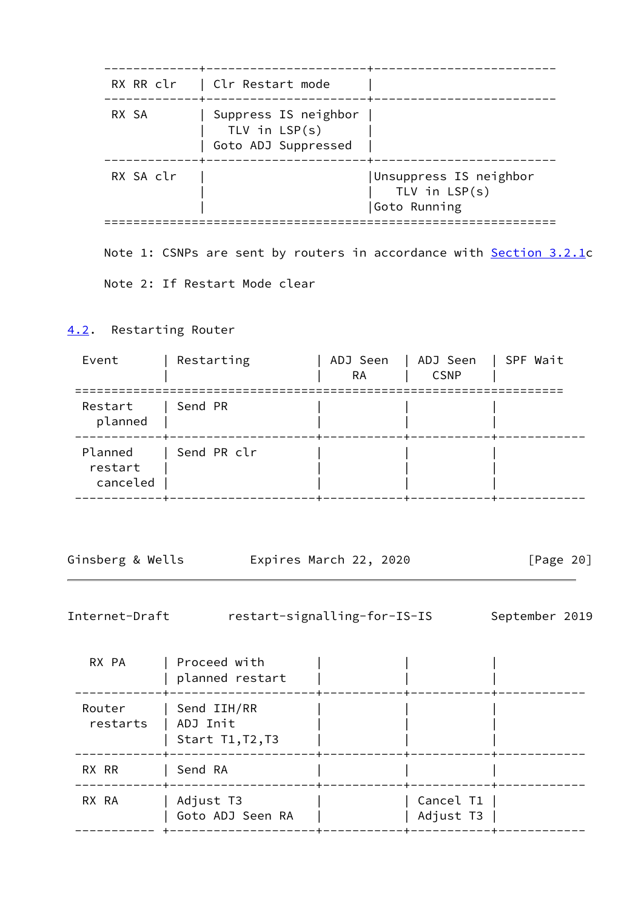|                               | RX RR clr   Clr Restart mode                                   |                                                                     |
|-------------------------------|----------------------------------------------------------------|---------------------------------------------------------------------|
| RX SA                         | Suppress IS neighbor<br>TLV in $LSP(s)$<br>Goto ADJ Suppressed |                                                                     |
| RX SA clr                     |                                                                | Unsuppress IS neighbor<br>TLV in $LSP(s)$<br>Goto Running           |
|                               |                                                                | Note 1: CSNPs are sent by routers in accordance with Section 3.2.1c |
| Note 2: If Restart Mode clear |                                                                |                                                                     |

# <span id="page-22-0"></span>[4.2](#page-22-0). Restarting Router

| Event                          | Restarting  | ADJ Seen<br><b>RA</b> | ADJ Seen<br><b>CSNP</b> | SPF Wait |
|--------------------------------|-------------|-----------------------|-------------------------|----------|
| Restart<br>planned             | Send PR     |                       |                         |          |
| Planned<br>restart<br>canceled | Send PR clr |                       |                         |          |

| Expires March 22, 2020 | Ginsberg & Wells |  |  |  |  |  | [Page 20] |  |
|------------------------|------------------|--|--|--|--|--|-----------|--|
|------------------------|------------------|--|--|--|--|--|-----------|--|

Internet-Draft restart-signalling-for-IS-IS September 2019

| RX PA              | Proceed with<br>planned restart               |                        |  |
|--------------------|-----------------------------------------------|------------------------|--|
| Router<br>restarts | Send IIH/RR<br>  ADJ Init<br>Start T1, T2, T3 |                        |  |
| RX RR              | Send RA                                       |                        |  |
| RX RA              | Adjust T3<br>Goto ADJ Seen RA                 | Cancel T1<br>Adjust T3 |  |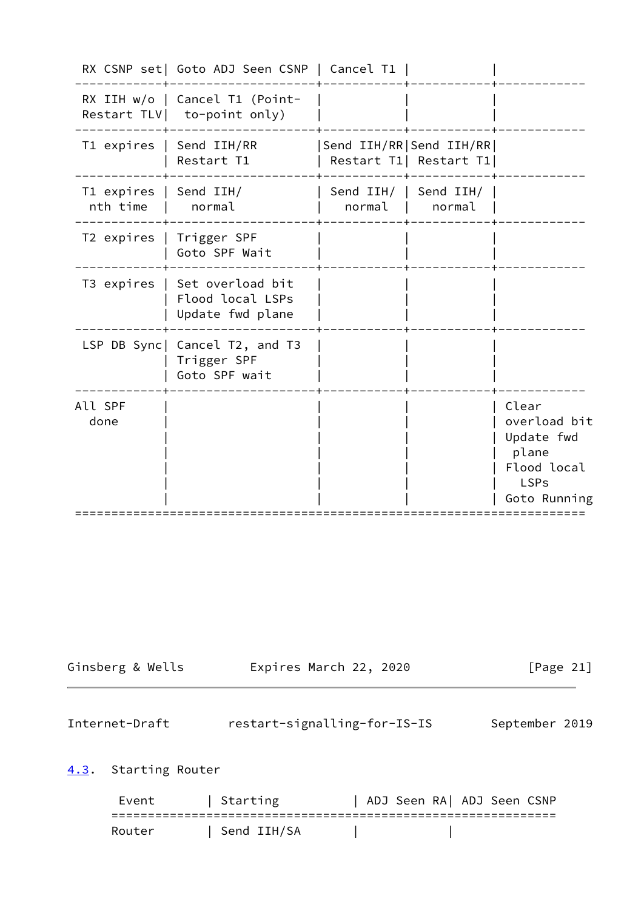|                                             | RX CSNP set   Goto ADJ Seen CSNP   Cancel T1                          |        |                                                       |                                                                                            |
|---------------------------------------------|-----------------------------------------------------------------------|--------|-------------------------------------------------------|--------------------------------------------------------------------------------------------|
|                                             | RX IIH w/o   Cancel T1 (Point-<br>Restart TLV   to-point only)        |        |                                                       |                                                                                            |
|                                             | T1 expires   Send IIH/RR<br>Restart T1                                |        | Send IIH/RR   Send IIH/RR  <br>Restart T1  Restart T1 |                                                                                            |
| T1 expires   Send IIH/<br>nth time   normal |                                                                       | normal | Send IIH/   Send IIH/<br>normal                       |                                                                                            |
|                                             | T2 expires   Trigger SPF<br>Goto SPF Wait                             |        |                                                       |                                                                                            |
|                                             | T3 expires   Set overload bit<br>Flood local LSPs<br>Update fwd plane |        |                                                       |                                                                                            |
|                                             | LSP DB Sync  Cancel T2, and T3<br>Trigger SPF<br>Goto SPF wait        |        |                                                       |                                                                                            |
| All SPF<br>done                             |                                                                       |        |                                                       | Clear<br>overload bit<br>Update fwd<br>plane<br>Flood local<br><b>LSPs</b><br>Goto Running |

| Ginsberg & Wells | Expires March 22, 2020 | [Page 21] |
|------------------|------------------------|-----------|
|------------------|------------------------|-----------|

<span id="page-23-1"></span>Internet-Draft restart-signalling-for-IS-IS September 2019

# <span id="page-23-0"></span>[4.3](#page-23-0). Starting Router

Event | Starting | ADJ Seen RA| ADJ Seen CSNP ============================================================= Router | Send IIH/SA | |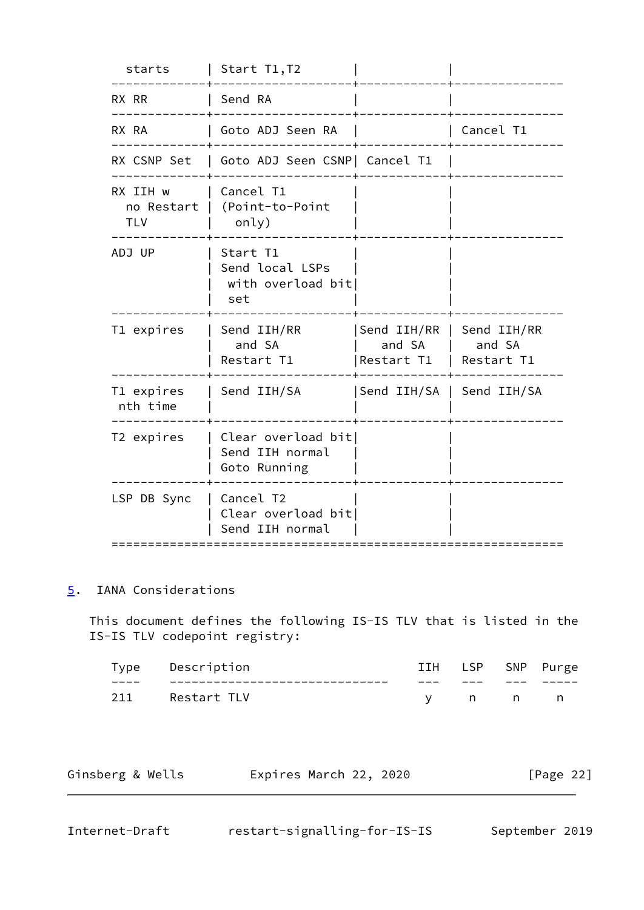| starts                               | Start T1,T2                                             |                                     |                                     |
|--------------------------------------|---------------------------------------------------------|-------------------------------------|-------------------------------------|
| RX RR                                | Send RA                                                 |                                     |                                     |
| RX RA                                | Goto ADJ Seen RA                                        |                                     | Cancel T1                           |
| RX CSNP Set                          | Goto ADJ Seen CSNP  Cancel T1                           |                                     |                                     |
| RX IIH w<br>no Restart<br><b>TLV</b> | Cancel T1<br>(Point-to-Point<br>only)                   |                                     |                                     |
| ADJ UP                               | Start T1<br>Send local LSPs<br>with overload bit<br>set |                                     |                                     |
| T1 expires                           | Send IIH/RR<br>and SA<br>Restart T1                     | Send IIH/RR<br>and SA<br>Restart T1 | Send IIH/RR<br>and SA<br>Restart T1 |
| T1 expires<br>nth time               | Send IIH/SA                                             | Send IIH/SA   Send IIH/SA           |                                     |
| T2 expires                           | Clear overload bit<br>Send IIH normal<br>Goto Running   |                                     |                                     |
| LSP DB Sync                          | Cancel T2<br>Clear overload bit<br>Send IIH normal      |                                     |                                     |

# <span id="page-24-0"></span>[5](#page-24-0). IANA Considerations

 This document defines the following IS-IS TLV that is listed in the IS-IS TLV codepoint registry:

| туре | Description | IIH | LSP. |     | SNP Purge |
|------|-------------|-----|------|-----|-----------|
| ____ |             | ___ | ___  | --- |           |
| 211  | Restart TLV |     | n n  |     |           |

| Ginsberg & Wells | Expires March 22, 2020 | [Page 22] |
|------------------|------------------------|-----------|
|                  |                        |           |

<span id="page-24-1"></span>

| Internet-Draft |  |
|----------------|--|
|----------------|--|

restart-signalling-for-IS-IS September 2019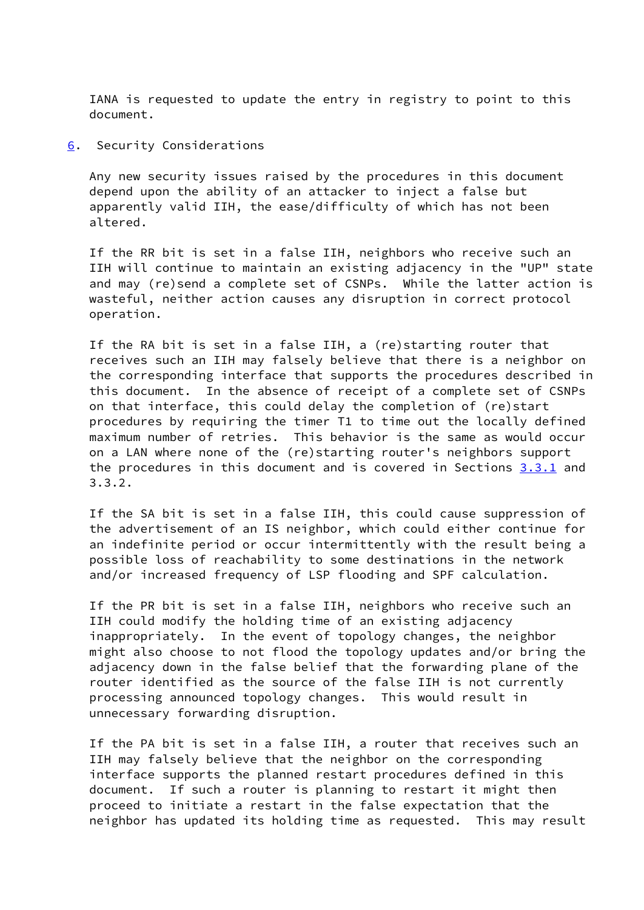IANA is requested to update the entry in registry to point to this document.

<span id="page-25-0"></span>[6](#page-25-0). Security Considerations

 Any new security issues raised by the procedures in this document depend upon the ability of an attacker to inject a false but apparently valid IIH, the ease/difficulty of which has not been altered.

 If the RR bit is set in a false IIH, neighbors who receive such an IIH will continue to maintain an existing adjacency in the "UP" state and may (re)send a complete set of CSNPs. While the latter action is wasteful, neither action causes any disruption in correct protocol operation.

 If the RA bit is set in a false IIH, a (re)starting router that receives such an IIH may falsely believe that there is a neighbor on the corresponding interface that supports the procedures described in this document. In the absence of receipt of a complete set of CSNPs on that interface, this could delay the completion of (re)start procedures by requiring the timer T1 to time out the locally defined maximum number of retries. This behavior is the same as would occur on a LAN where none of the (re)starting router's neighbors support the procedures in this document and is covered in Sections  $3.3.1$  and 3.3.2.

 If the SA bit is set in a false IIH, this could cause suppression of the advertisement of an IS neighbor, which could either continue for an indefinite period or occur intermittently with the result being a possible loss of reachability to some destinations in the network and/or increased frequency of LSP flooding and SPF calculation.

 If the PR bit is set in a false IIH, neighbors who receive such an IIH could modify the holding time of an existing adjacency inappropriately. In the event of topology changes, the neighbor might also choose to not flood the topology updates and/or bring the adjacency down in the false belief that the forwarding plane of the router identified as the source of the false IIH is not currently processing announced topology changes. This would result in unnecessary forwarding disruption.

 If the PA bit is set in a false IIH, a router that receives such an IIH may falsely believe that the neighbor on the corresponding interface supports the planned restart procedures defined in this document. If such a router is planning to restart it might then proceed to initiate a restart in the false expectation that the neighbor has updated its holding time as requested. This may result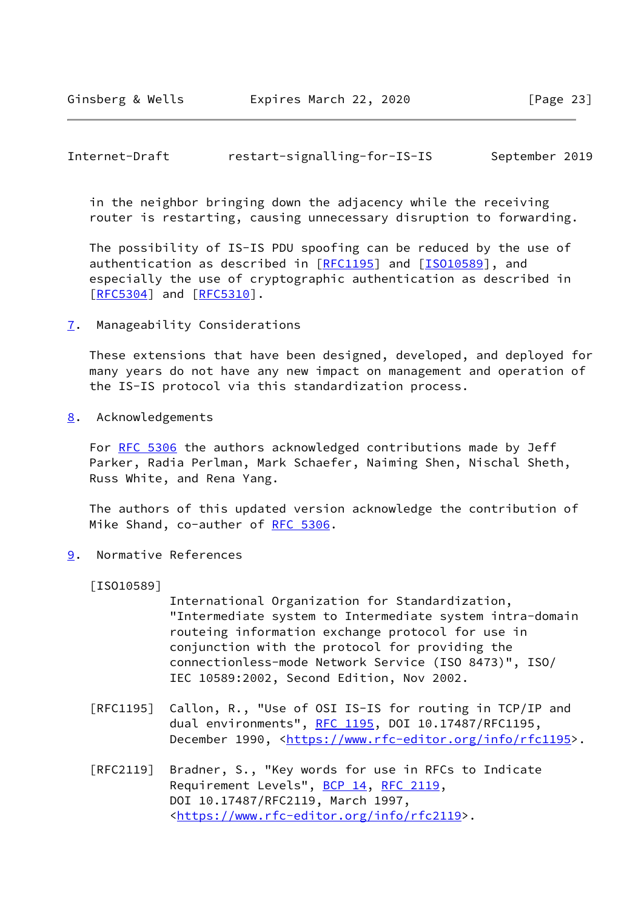## <span id="page-26-1"></span>Internet-Draft restart-signalling-for-IS-IS September 2019

 in the neighbor bringing down the adjacency while the receiving router is restarting, causing unnecessary disruption to forwarding.

 The possibility of IS-IS PDU spoofing can be reduced by the use of authentication as described in [\[RFC1195](https://datatracker.ietf.org/doc/pdf/rfc1195)] and [\[ISO10589](#page-26-4)], and especially the use of cryptographic authentication as described in [\[RFC5304](https://datatracker.ietf.org/doc/pdf/rfc5304)] and [[RFC5310](https://datatracker.ietf.org/doc/pdf/rfc5310)].

<span id="page-26-0"></span>[7](#page-26-0). Manageability Considerations

 These extensions that have been designed, developed, and deployed for many years do not have any new impact on management and operation of the IS-IS protocol via this standardization process.

<span id="page-26-2"></span>[8](#page-26-2). Acknowledgements

For [RFC 5306](https://datatracker.ietf.org/doc/pdf/rfc5306) the authors acknowledged contributions made by Jeff Parker, Radia Perlman, Mark Schaefer, Naiming Shen, Nischal Sheth, Russ White, and Rena Yang.

 The authors of this updated version acknowledge the contribution of Mike Shand, co-auther of [RFC 5306](https://datatracker.ietf.org/doc/pdf/rfc5306).

<span id="page-26-3"></span>[9](#page-26-3). Normative References

<span id="page-26-4"></span>[ISO10589]

 International Organization for Standardization, "Intermediate system to Intermediate system intra-domain routeing information exchange protocol for use in conjunction with the protocol for providing the connectionless-mode Network Service (ISO 8473)", ISO/ IEC 10589:2002, Second Edition, Nov 2002.

- [RFC1195] Callon, R., "Use of OSI IS-IS for routing in TCP/IP and dual environments", [RFC 1195,](https://datatracker.ietf.org/doc/pdf/rfc1195) DOI 10.17487/RFC1195, December 1990, <<https://www.rfc-editor.org/info/rfc1195>>.
- [RFC2119] Bradner, S., "Key words for use in RFCs to Indicate Requirement Levels", [BCP 14](https://datatracker.ietf.org/doc/pdf/bcp14), [RFC 2119](https://datatracker.ietf.org/doc/pdf/rfc2119), DOI 10.17487/RFC2119, March 1997, <[https://www.rfc-editor.org/info/rfc2119>](https://www.rfc-editor.org/info/rfc2119).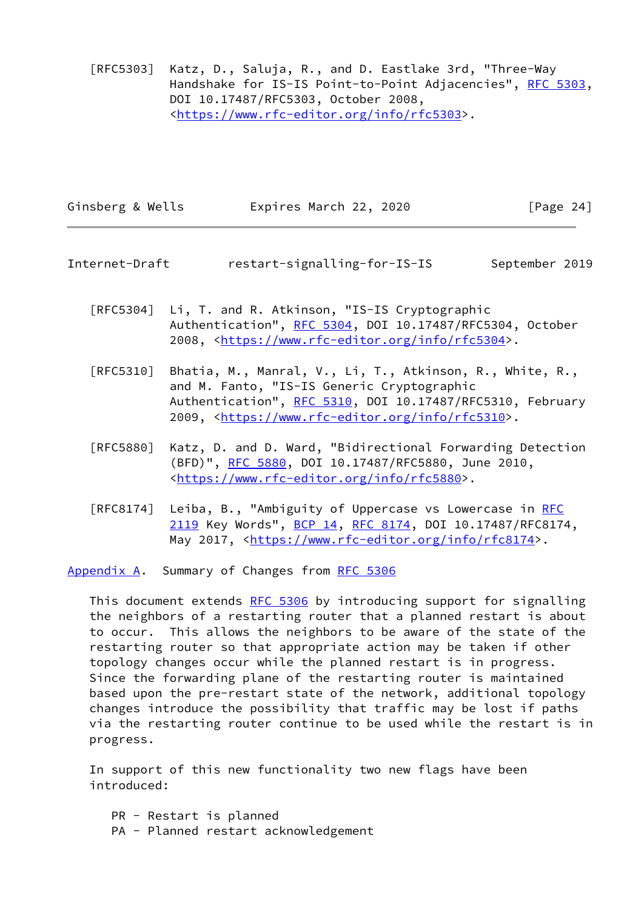[RFC5303] Katz, D., Saluja, R., and D. Eastlake 3rd, "Three-Way Handshake for IS-IS Point-to-Point Adjacencies", [RFC 5303,](https://datatracker.ietf.org/doc/pdf/rfc5303) DOI 10.17487/RFC5303, October 2008, <[https://www.rfc-editor.org/info/rfc5303>](https://www.rfc-editor.org/info/rfc5303).

| Ginsberg & Wells | Expires March 22, 2020 | [Page 24] |
|------------------|------------------------|-----------|

<span id="page-27-1"></span>Internet-Draft restart-signalling-for-IS-IS September 2019

- [RFC5304] Li, T. and R. Atkinson, "IS-IS Cryptographic Authentication", [RFC 5304,](https://datatracker.ietf.org/doc/pdf/rfc5304) DOI 10.17487/RFC5304, October 2008, [<https://www.rfc-editor.org/info/rfc5304](https://www.rfc-editor.org/info/rfc5304)>.
- [RFC5310] Bhatia, M., Manral, V., Li, T., Atkinson, R., White, R., and M. Fanto, "IS-IS Generic Cryptographic Authentication", [RFC 5310,](https://datatracker.ietf.org/doc/pdf/rfc5310) DOI 10.17487/RFC5310, February 2009, [<https://www.rfc-editor.org/info/rfc5310](https://www.rfc-editor.org/info/rfc5310)>.
- [RFC5880] Katz, D. and D. Ward, "Bidirectional Forwarding Detection (BFD)", [RFC 5880,](https://datatracker.ietf.org/doc/pdf/rfc5880) DOI 10.17487/RFC5880, June 2010, <[https://www.rfc-editor.org/info/rfc5880>](https://www.rfc-editor.org/info/rfc5880).
- [RFC8174] Leiba, B., "Ambiguity of Uppercase vs Lowercase in [RFC](https://datatracker.ietf.org/doc/pdf/rfc2119) [2119](https://datatracker.ietf.org/doc/pdf/rfc2119) Key Words", [BCP 14](https://datatracker.ietf.org/doc/pdf/bcp14), [RFC 8174,](https://datatracker.ietf.org/doc/pdf/rfc8174) DOI 10.17487/RFC8174, May 2017, [<https://www.rfc-editor.org/info/rfc8174](https://www.rfc-editor.org/info/rfc8174)>.

<span id="page-27-0"></span>[Appendix A.](#page-27-0) Summary of Changes from [RFC 5306](https://datatracker.ietf.org/doc/pdf/rfc5306)

This document extends [RFC 5306](https://datatracker.ietf.org/doc/pdf/rfc5306) by introducing support for signalling the neighbors of a restarting router that a planned restart is about to occur. This allows the neighbors to be aware of the state of the restarting router so that appropriate action may be taken if other topology changes occur while the planned restart is in progress. Since the forwarding plane of the restarting router is maintained based upon the pre-restart state of the network, additional topology changes introduce the possibility that traffic may be lost if paths via the restarting router continue to be used while the restart is in progress.

 In support of this new functionality two new flags have been introduced:

 PR - Restart is planned PA - Planned restart acknowledgement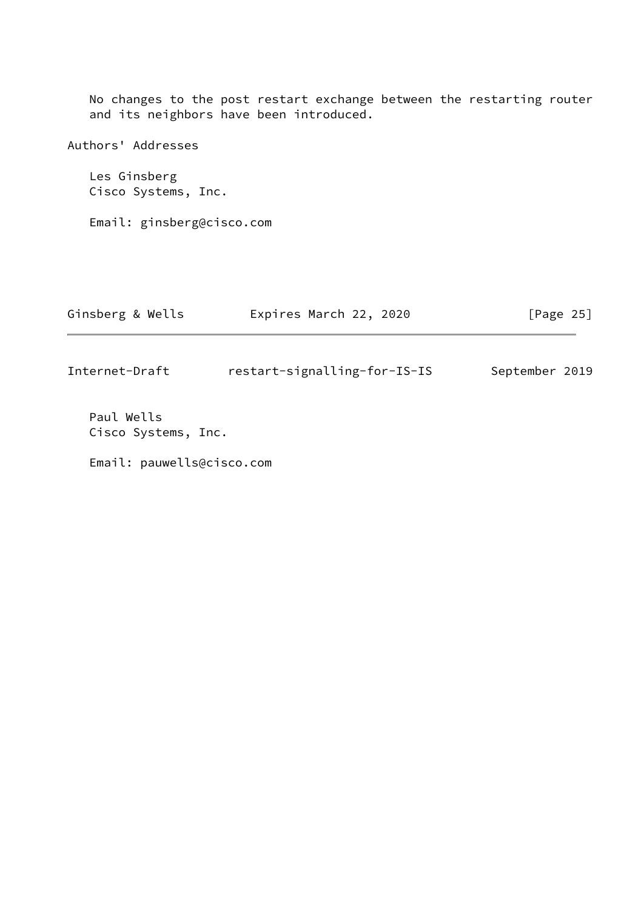No changes to the post restart exchange between the restarting router and its neighbors have been introduced.

Authors' Addresses Les Ginsberg Cisco Systems, Inc. Email: ginsberg@cisco.com Ginsberg & Wells **Expires March 22, 2020** [Page 25]

|  |  | . |  |  |  |  |
|--|--|---|--|--|--|--|
|  |  |   |  |  |  |  |
|  |  |   |  |  |  |  |
|  |  |   |  |  |  |  |
|  |  |   |  |  |  |  |

Internet-Draft restart-signalling-for-IS-IS September 2019

 Paul Wells Cisco Systems, Inc.

Email: pauwells@cisco.com